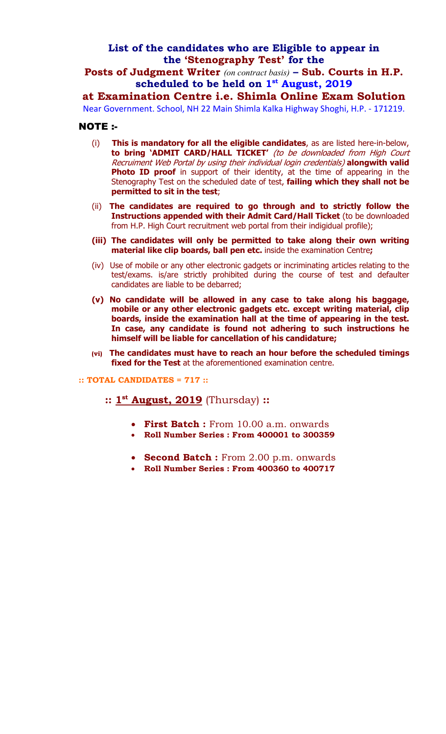## **List of the candidates who are Eligible to appear in the 'Stenography Test' for the**

**Posts of Judgment Writer** *(on contract basis)* **– Sub. Courts in H.P. scheduled to be held on 1st August, 2019** 

**at Examination Centre i.e. Shimla Online Exam Solution**

Near Government. School, NH 22 Main Shimla Kalka Highway Shoghi, H.P. - 171219.

## NOTE :-

- (i) **This is mandatory for all the eligible candidates**, as are listed here-in-below, **to bring 'ADMIT CARD/HALL TICKET'** (to be downloaded from High Court Recruiment Web Portal by using their individual login credentials) **alongwith valid Photo ID proof** in support of their identity, at the time of appearing in the Stenography Test on the scheduled date of test, **failing which they shall not be permitted to sit in the test**;
- (ii) **The candidates are required to go through and to strictly follow the Instructions appended with their Admit Card/Hall Ticket** (to be downloaded from H.P. High Court recruitment web portal from their indigidual profile);
- **(iii) The candidates will only be permitted to take along their own writing material like clip boards, ball pen etc.** inside the examination Centre**;**
- (iv) Use of mobile or any other electronic gadgets or incriminating articles relating to the test/exams. is/are strictly prohibited during the course of test and defaulter candidates are liable to be debarred;
- **(v) No candidate will be allowed in any case to take along his baggage, mobile or any other electronic gadgets etc. except writing material, clip boards, inside the examination hall at the time of appearing in the test. In case, any candidate is found not adhering to such instructions he himself will be liable for cancellation of his candidature;**
- **(vi) The candidates must have to reach an hour before the scheduled timings fixed for the Test** at the aforementioned examination centre.

## **:: TOTAL CANDIDATES = 717 ::**

## **:: 1st August, 2019** (Thursday) **::**

- **First Batch :** From 10.00 a.m. onwards
- **Roll Number Series : From 400001 to 300359**
- **Second Batch :** From 2.00 p.m. onwards
- **Roll Number Series : From 400360 to 400717**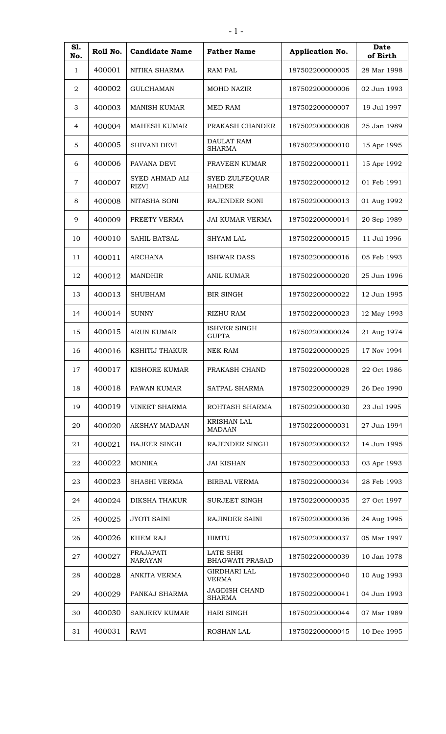| S1.<br>No.   | Roll No. | <b>Candidate Name</b>          | <b>Father Name</b>                         | <b>Application No.</b> | Date<br>of Birth |
|--------------|----------|--------------------------------|--------------------------------------------|------------------------|------------------|
| $\mathbf{1}$ | 400001   | NITIKA SHARMA                  | <b>RAM PAL</b>                             | 187502200000005        | 28 Mar 1998      |
| 2            | 400002   | <b>GULCHAMAN</b>               | <b>MOHD NAZIR</b>                          | 187502200000006        | 02 Jun 1993      |
| 3            | 400003   | <b>MANISH KUMAR</b>            | <b>MED RAM</b>                             | 187502200000007        | 19 Jul 1997      |
| 4            | 400004   | MAHESH KUMAR                   | PRAKASH CHANDER                            | 187502200000008        | 25 Jan 1989      |
| 5            | 400005   | <b>SHIVANI DEVI</b>            | <b>DAULAT RAM</b><br><b>SHARMA</b>         | 187502200000010        | 15 Apr 1995      |
| 6            | 400006   | PAVANA DEVI                    | PRAVEEN KUMAR                              | 187502200000011        | 15 Apr 1992      |
| 7            | 400007   | SYED AHMAD ALI<br><b>RIZVI</b> | SYED ZULFEQUAR<br><b>HAIDER</b>            | 187502200000012        | 01 Feb 1991      |
| 8            | 400008   | NITASHA SONI                   | <b>RAJENDER SONI</b>                       | 187502200000013        | 01 Aug 1992      |
| 9            | 400009   | PREETY VERMA                   | <b>JAI KUMAR VERMA</b>                     | 187502200000014        | 20 Sep 1989      |
| 10           | 400010   | <b>SAHIL BATSAL</b>            | <b>SHYAM LAL</b>                           | 187502200000015        | 11 Jul 1996      |
| 11           | 400011   | <b>ARCHANA</b>                 | <b>ISHWAR DASS</b>                         | 187502200000016        | 05 Feb 1993      |
| 12           | 400012   | <b>MANDHIR</b>                 | <b>ANIL KUMAR</b>                          | 187502200000020        | 25 Jun 1996      |
| 13           | 400013   | <b>SHUBHAM</b>                 | <b>BIR SINGH</b>                           | 187502200000022        | 12 Jun 1995      |
| 14           | 400014   | <b>SUNNY</b>                   | <b>RIZHU RAM</b>                           | 187502200000023        | 12 May 1993      |
| 15           | 400015   | <b>ARUN KUMAR</b>              | ISHVER SINGH<br><b>GUPTA</b>               | 187502200000024        | 21 Aug 1974      |
| 16           | 400016   | <b>KSHITIJ THAKUR</b>          | <b>NEK RAM</b>                             | 187502200000025        | 17 Nov 1994      |
| 17           | 400017   | KISHORE KUMAR                  | PRAKASH CHAND                              | 187502200000028        | 22 Oct 1986      |
| 18           | 400018   | PAWAN KUMAR                    | SATPAL SHARMA                              | 187502200000029        | 26 Dec 1990      |
| 19           | 400019   | VINEET SHARMA                  | ROHTASH SHARMA                             | 187502200000030        | 23 Jul 1995      |
| 20           | 400020   | AKSHAY MADAAN                  | <b>KRISHAN LAL</b><br>MADAAN               | 187502200000031        | 27 Jun 1994      |
| 21           | 400021   | <b>BAJEER SINGH</b>            | RAJENDER SINGH                             | 187502200000032        | 14 Jun 1995      |
| 22           | 400022   | <b>MONIKA</b>                  | <b>JAI KISHAN</b>                          | 187502200000033        | 03 Apr 1993      |
| 23           | 400023   | <b>SHASHI VERMA</b>            | <b>BIRBAL VERMA</b>                        | 187502200000034        | 28 Feb 1993      |
| 24           | 400024   | DIKSHA THAKUR                  | <b>SURJEET SINGH</b>                       | 187502200000035        | 27 Oct 1997      |
| 25           | 400025   | <b>JYOTI SAINI</b>             | <b>RAJINDER SAINI</b>                      | 187502200000036        | 24 Aug 1995      |
| 26           | 400026   | <b>KHEM RAJ</b>                | HIMTU                                      | 187502200000037        | 05 Mar 1997      |
| 27           | 400027   | PRAJAPATI<br><b>NARAYAN</b>    | <b>LATE SHRI</b><br><b>BHAGWATI PRASAD</b> | 187502200000039        | 10 Jan 1978      |
| 28           | 400028   | <b>ANKITA VERMA</b>            | <b>GIRDHARI LAL</b><br><b>VERMA</b>        | 187502200000040        | 10 Aug 1993      |
| 29           | 400029   | PANKAJ SHARMA                  | <b>JAGDISH CHAND</b><br><b>SHARMA</b>      | 187502200000041        | 04 Jun 1993      |
| 30           | 400030   | <b>SANJEEV KUMAR</b>           | <b>HARI SINGH</b>                          | 187502200000044        | 07 Mar 1989      |
| 31           | 400031   | RAVI                           | <b>ROSHAN LAL</b>                          | 187502200000045        | 10 Dec 1995      |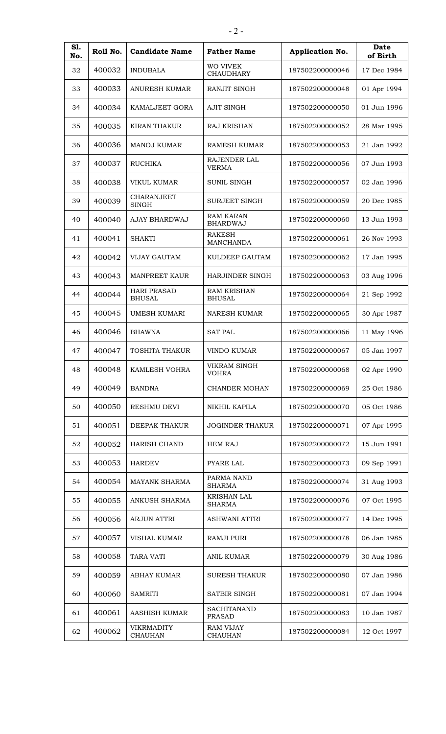| S1.<br>No. | Roll No. | <b>Candidate Name</b>               | <b>Father Name</b>                  | Application No. | <b>Date</b><br>of Birth |
|------------|----------|-------------------------------------|-------------------------------------|-----------------|-------------------------|
| 32         | 400032   | <b>INDUBALA</b>                     | <b>WO VIVEK</b><br><b>CHAUDHARY</b> | 187502200000046 | 17 Dec 1984             |
| 33         | 400033   | <b>ANURESH KUMAR</b>                | RANJIT SINGH                        | 187502200000048 | 01 Apr 1994             |
| 34         | 400034   | KAMALJEET GORA                      | <b>AJIT SINGH</b>                   | 187502200000050 | 01 Jun 1996             |
| 35         | 400035   | <b>KIRAN THAKUR</b>                 | <b>RAJ KRISHAN</b>                  | 187502200000052 | 28 Mar 1995             |
| 36         | 400036   | <b>MANOJ KUMAR</b>                  | <b>RAMESH KUMAR</b>                 | 187502200000053 | 21 Jan 1992             |
| 37         | 400037   | <b>RUCHIKA</b>                      | RAJENDER LAL<br><b>VERMA</b>        | 187502200000056 | 07 Jun 1993             |
| 38         | 400038   | VIKUL KUMAR                         | <b>SUNIL SINGH</b>                  | 187502200000057 | 02 Jan 1996             |
| 39         | 400039   | <b>CHARANJEET</b><br><b>SINGH</b>   | <b>SURJEET SINGH</b>                | 187502200000059 | 20 Dec 1985             |
| 40         | 400040   | AJAY BHARDWAJ                       | <b>RAM KARAN</b><br><b>BHARDWAJ</b> | 187502200000060 | 13 Jun 1993             |
| 41         | 400041   | <b>SHAKTI</b>                       | <b>RAKESH</b><br><b>MANCHANDA</b>   | 187502200000061 | 26 Nov 1993             |
| 42         | 400042   | <b>VIJAY GAUTAM</b>                 | KULDEEP GAUTAM                      | 187502200000062 | 17 Jan 1995             |
| 43         | 400043   | <b>MANPREET KAUR</b>                | <b>HARJINDER SINGH</b>              | 187502200000063 | 03 Aug 1996             |
| 44         | 400044   | <b>HARI PRASAD</b><br><b>BHUSAL</b> | <b>RAM KRISHAN</b><br><b>BHUSAL</b> | 187502200000064 | 21 Sep 1992             |
| 45         | 400045   | <b>UMESH KUMARI</b>                 | <b>NARESH KUMAR</b>                 | 187502200000065 | 30 Apr 1987             |
| 46         | 400046   | <b>BHAWNA</b>                       | <b>SAT PAL</b>                      | 187502200000066 | 11 May 1996             |
| 47         | 400047   | TOSHITA THAKUR                      | VINDO KUMAR                         | 187502200000067 | 05 Jan 1997             |
| 48         | 400048   | <b>KAMLESH VOHRA</b>                | VIKRAM SINGH<br><b>VOHRA</b>        | 187502200000068 | 02 Apr 1990             |
| 49         | 400049   | <b>BANDNA</b>                       | <b>CHANDER MOHAN</b>                | 187502200000069 | 25 Oct 1986             |
| 50         | 400050   | RESHMU DEVI                         | NIKHIL KAPILA                       | 187502200000070 | 05 Oct 1986             |
| 51         | 400051   | DEEPAK THAKUR                       | <b>JOGINDER THAKUR</b>              | 187502200000071 | 07 Apr 1995             |
| 52         | 400052   | <b>HARISH CHAND</b>                 | <b>HEM RAJ</b>                      | 187502200000072 | 15 Jun 1991             |
| 53         | 400053   | <b>HARDEV</b>                       | <b>PYARE LAL</b>                    | 187502200000073 | 09 Sep 1991             |
| 54         | 400054   | <b>MAYANK SHARMA</b>                | PARMA NAND<br><b>SHARMA</b>         | 187502200000074 | 31 Aug 1993             |
| 55         | 400055   | ANKUSH SHARMA                       | <b>KRISHAN LAL</b><br><b>SHARMA</b> | 187502200000076 | 07 Oct 1995             |
| 56         | 400056   | <b>ARJUN ATTRI</b>                  | ASHWANI ATTRI                       | 187502200000077 | 14 Dec 1995             |
| 57         | 400057   | VISHAL KUMAR                        | <b>RAMJI PURI</b>                   | 187502200000078 | 06 Jan 1985             |
| 58         | 400058   | <b>TARA VATI</b>                    | <b>ANIL KUMAR</b>                   | 187502200000079 | 30 Aug 1986             |
| 59         | 400059   | <b>ABHAY KUMAR</b>                  | <b>SURESH THAKUR</b>                | 187502200000080 | 07 Jan 1986             |
| 60         | 400060   | <b>SAMRITI</b>                      | SATBIR SINGH                        | 187502200000081 | 07 Jan 1994             |
| 61         | 400061   | AASHISH KUMAR                       | <b>SACHITANAND</b><br><b>PRASAD</b> | 187502200000083 | 10 Jan 1987             |
| 62         | 400062   | <b>VIKRMADITY</b><br><b>CHAUHAN</b> | <b>RAM VIJAY</b><br><b>CHAUHAN</b>  | 187502200000084 | 12 Oct 1997             |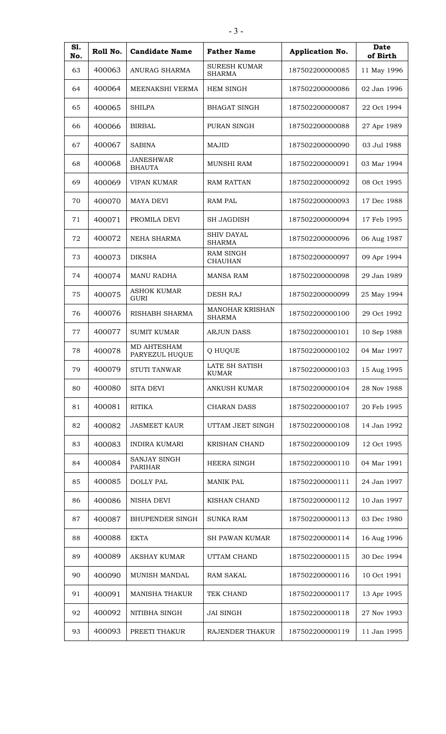| S1.<br>No. | Roll No. | <b>Candidate Name</b>                 | <b>Father Name</b>                      | Application No. | Date<br>of Birth |
|------------|----------|---------------------------------------|-----------------------------------------|-----------------|------------------|
| 63         | 400063   | ANURAG SHARMA                         | <b>SURESH KUMAR</b><br><b>SHARMA</b>    | 187502200000085 | 11 May 1996      |
| 64         | 400064   | MEENAKSHI VERMA                       | <b>HEM SINGH</b>                        | 187502200000086 | 02 Jan 1996      |
| 65         | 400065   | <b>SHILPA</b>                         | <b>BHAGAT SINGH</b>                     | 187502200000087 | 22 Oct 1994      |
| 66         | 400066   | <b>BIRBAL</b>                         | PURAN SINGH                             | 187502200000088 | 27 Apr 1989      |
| 67         | 400067   | <b>SABINA</b>                         | <b>MAJID</b>                            | 187502200000090 | 03 Jul 1988      |
| 68         | 400068   | <b>JANESHWAR</b><br><b>BHAUTA</b>     | <b>MUNSHI RAM</b>                       | 187502200000091 | 03 Mar 1994      |
| 69         | 400069   | <b>VIPAN KUMAR</b>                    | <b>RAM RATTAN</b>                       | 187502200000092 | 08 Oct 1995      |
| 70         | 400070   | <b>MAYA DEVI</b>                      | <b>RAM PAL</b>                          | 187502200000093 | 17 Dec 1988      |
| 71         | 400071   | PROMILA DEVI                          | <b>SH JAGDISH</b>                       | 187502200000094 | 17 Feb 1995      |
| 72         | 400072   | <b>NEHA SHARMA</b>                    | <b>SHIV DAYAL</b><br><b>SHARMA</b>      | 187502200000096 | 06 Aug 1987      |
| 73         | 400073   | <b>DIKSHA</b>                         | <b>RAM SINGH</b><br><b>CHAUHAN</b>      | 187502200000097 | 09 Apr 1994      |
| 74         | 400074   | <b>MANU RADHA</b>                     | <b>MANSA RAM</b>                        | 187502200000098 | 29 Jan 1989      |
| 75         | 400075   | ASHOK KUMAR<br><b>GURI</b>            | <b>DESH RAJ</b>                         | 187502200000099 | 25 May 1994      |
| 76         | 400076   | RISHABH SHARMA                        | <b>MANOHAR KRISHAN</b><br><b>SHARMA</b> | 187502200000100 | 29 Oct 1992      |
| 77         | 400077   | <b>SUMIT KUMAR</b>                    | <b>ARJUN DASS</b>                       | 187502200000101 | 10 Sep 1988      |
| 78         | 400078   | MD AHTESHAM<br>PARYEZUL HUQUE         | Q HUQUE                                 | 187502200000102 | 04 Mar 1997      |
| 79         | 400079   | <b>STUTI TANWAR</b>                   | LATE SH SATISH<br><b>KUMAR</b>          | 187502200000103 | 15 Aug 1995      |
| 80         | 400080   | <b>SITA DEVI</b>                      | <b>ANKUSH KUMAR</b>                     | 187502200000104 | 28 Nov 1988      |
| 81         | 400081   | <b>RITIKA</b>                         | <b>CHARAN DASS</b>                      | 187502200000107 | 20 Feb 1995      |
| 82         | 400082   | <b>JASMEET KAUR</b>                   | UTTAM JEET SINGH                        | 187502200000108 | 14 Jan 1992      |
| 83         | 400083   | <b>INDIRA KUMARI</b>                  | KRISHAN CHAND                           | 187502200000109 | 12 Oct 1995      |
| 84         | 400084   | <b>SANJAY SINGH</b><br><b>PARIHAR</b> | <b>HEERA SINGH</b>                      | 187502200000110 | 04 Mar 1991      |
| 85         | 400085   | DOLLY PAL                             | <b>MANIK PAL</b>                        | 187502200000111 | 24 Jan 1997      |
| 86         | 400086   | NISHA DEVI                            | KISHAN CHAND                            | 187502200000112 | 10 Jan 1997      |
| 87         | 400087   | <b>BHUPENDER SINGH</b>                | <b>SUNKA RAM</b>                        | 187502200000113 | 03 Dec 1980      |
| 88         | 400088   | <b>EKTA</b>                           | <b>SH PAWAN KUMAR</b>                   | 187502200000114 | 16 Aug 1996      |
| 89         | 400089   | AKSHAY KUMAR                          | UTTAM CHAND                             | 187502200000115 | 30 Dec 1994      |
| 90         | 400090   | MUNISH MANDAL                         | <b>RAM SAKAL</b>                        | 187502200000116 | 10 Oct 1991      |
| 91         | 400091   | <b>MANISHA THAKUR</b>                 | TEK CHAND                               | 187502200000117 | 13 Apr 1995      |
| 92         | 400092   | NITIBHA SINGH                         | <b>JAI SINGH</b>                        | 187502200000118 | 27 Nov 1993      |
| 93         | 400093   | PREETI THAKUR                         | RAJENDER THAKUR                         | 187502200000119 | 11 Jan 1995      |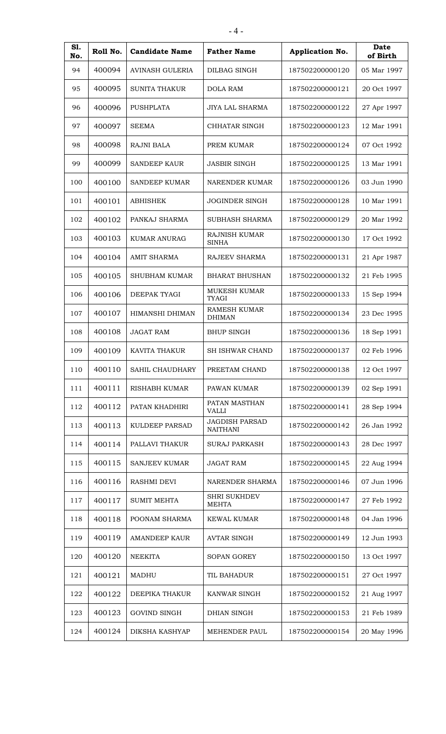| S1.<br>No. | Roll No. | <b>Candidate Name</b>  | <b>Father Name</b>                       | <b>Application No.</b> | Date<br>of Birth |
|------------|----------|------------------------|------------------------------------------|------------------------|------------------|
| 94         | 400094   | <b>AVINASH GULERIA</b> | DILBAG SINGH                             | 187502200000120        | 05 Mar 1997      |
| 95         | 400095   | <b>SUNITA THAKUR</b>   | <b>DOLA RAM</b>                          | 187502200000121        | 20 Oct 1997      |
| 96         | 400096   | <b>PUSHPLATA</b>       | <b>JIYA LAL SHARMA</b>                   | 187502200000122        | 27 Apr 1997      |
| 97         | 400097   | <b>SEEMA</b>           | CHHATAR SINGH                            | 187502200000123        | 12 Mar 1991      |
| 98         | 400098   | <b>RAJNI BALA</b>      | PREM KUMAR                               | 187502200000124        | 07 Oct 1992      |
| 99         | 400099   | <b>SANDEEP KAUR</b>    | <b>JASBIR SINGH</b>                      | 187502200000125        | 13 Mar 1991      |
| 100        | 400100   | <b>SANDEEP KUMAR</b>   | NARENDER KUMAR                           | 187502200000126        | 03 Jun 1990      |
| 101        | 400101   | <b>ABHISHEK</b>        | <b>JOGINDER SINGH</b>                    | 187502200000128        | 10 Mar 1991      |
| 102        | 400102   | PANKAJ SHARMA          | SUBHASH SHARMA                           | 187502200000129        | 20 Mar 1992      |
| 103        | 400103   | <b>KUMAR ANURAG</b>    | <b>RAJNISH KUMAR</b><br><b>SINHA</b>     | 187502200000130        | 17 Oct 1992      |
| 104        | 400104   | <b>AMIT SHARMA</b>     | <b>RAJEEV SHARMA</b>                     | 187502200000131        | 21 Apr 1987      |
| 105        | 400105   | <b>SHUBHAM KUMAR</b>   | <b>BHARAT BHUSHAN</b>                    | 187502200000132        | 21 Feb 1995      |
| 106        | 400106   | DEEPAK TYAGI           | MUKESH KUMAR<br><b>TYAGI</b>             | 187502200000133        | 15 Sep 1994      |
| 107        | 400107   | HIMANSHI DHIMAN        | <b>RAMESH KUMAR</b><br><b>DHIMAN</b>     | 187502200000134        | 23 Dec 1995      |
| 108        | 400108   | <b>JAGAT RAM</b>       | <b>BHUP SINGH</b>                        | 187502200000136        | 18 Sep 1991      |
| 109        | 400109   | KAVITA THAKUR          | <b>SH ISHWAR CHAND</b>                   | 187502200000137        | 02 Feb 1996      |
| 110        | 400110   | <b>SAHIL CHAUDHARY</b> | PREETAM CHAND                            | 187502200000138        | 12 Oct 1997      |
| 111        | 400111   | RISHABH KUMAR          | PAWAN KUMAR                              | 187502200000139        | 02 Sep 1991      |
| 112        | 400112   | PATAN KHADHIRI         | PATAN MASTHAN<br><b>VALLI</b>            | 187502200000141        | 28 Sep 1994      |
| 113        | 400113   | KULDEEP PARSAD         | <b>JAGDISH PARSAD</b><br><b>NAITHANI</b> | 187502200000142        | 26 Jan 1992      |
| 114        | 400114   | PALLAVI THAKUR         | <b>SURAJ PARKASH</b>                     | 187502200000143        | 28 Dec 1997      |
| 115        | 400115   | <b>SANJEEV KUMAR</b>   | <b>JAGAT RAM</b>                         | 187502200000145        | 22 Aug 1994      |
| 116        | 400116   | RASHMI DEVI            | NARENDER SHARMA                          | 187502200000146        | 07 Jun 1996      |
| 117        | 400117   | <b>SUMIT MEHTA</b>     | <b>SHRI SUKHDEV</b><br><b>MEHTA</b>      | 187502200000147        | 27 Feb 1992      |
| 118        | 400118   | POONAM SHARMA          | KEWAL KUMAR                              | 187502200000148        | 04 Jan 1996      |
| 119        | 400119   | <b>AMANDEEP KAUR</b>   | <b>AVTAR SINGH</b>                       | 187502200000149        | 12 Jun 1993      |
| 120        | 400120   | <b>NEEKITA</b>         | <b>SOPAN GOREY</b>                       | 187502200000150        | 13 Oct 1997      |
| 121        | 400121   | MADHU                  | TIL BAHADUR                              | 187502200000151        | 27 Oct 1997      |
| 122        | 400122   | DEEPIKA THAKUR         | KANWAR SINGH                             | 187502200000152        | 21 Aug 1997      |
| 123        | 400123   | <b>GOVIND SINGH</b>    | DHIAN SINGH                              | 187502200000153        | 21 Feb 1989      |
| 124        | 400124   | DIKSHA KASHYAP         | MEHENDER PAUL                            | 187502200000154        | 20 May 1996      |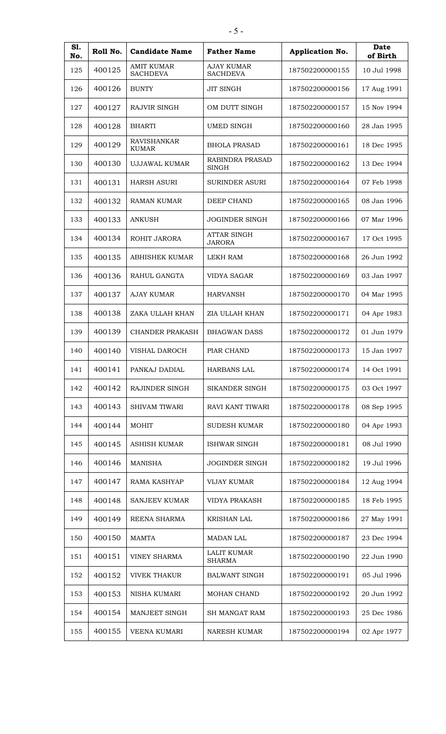| S1.<br>No. | Roll No. | <b>Candidate Name</b>                | <b>Father Name</b>                   | Application No. | Date<br>of Birth |
|------------|----------|--------------------------------------|--------------------------------------|-----------------|------------------|
| 125        | 400125   | <b>AMIT KUMAR</b><br><b>SACHDEVA</b> | <b>AJAY KUMAR</b><br><b>SACHDEVA</b> | 187502200000155 | 10 Jul 1998      |
| 126        | 400126   | <b>BUNTY</b>                         | <b>JIT SINGH</b>                     | 187502200000156 | 17 Aug 1991      |
| 127        | 400127   | RAJVIR SINGH                         | OM DUTT SINGH                        | 187502200000157 | 15 Nov 1994      |
| 128        | 400128   | BHARTI                               | <b>UMED SINGH</b>                    | 187502200000160 | 28 Jan 1995      |
| 129        | 400129   | <b>RAVISHANKAR</b><br><b>KUMAR</b>   | <b>BHOLA PRASAD</b>                  | 187502200000161 | 18 Dec 1995      |
| 130        | 400130   | UJJAWAL KUMAR                        | RABINDRA PRASAD<br><b>SINGH</b>      | 187502200000162 | 13 Dec 1994      |
| 131        | 400131   | <b>HARSH ASURI</b>                   | <b>SURINDER ASURI</b>                | 187502200000164 | 07 Feb 1998      |
| 132        | 400132   | <b>RAMAN KUMAR</b>                   | DEEP CHAND                           | 187502200000165 | 08 Jan 1996      |
| 133        | 400133   | <b>ANKUSH</b>                        | <b>JOGINDER SINGH</b>                | 187502200000166 | 07 Mar 1996      |
| 134        | 400134   | ROHIT JARORA                         | <b>ATTAR SINGH</b><br><b>JARORA</b>  | 187502200000167 | 17 Oct 1995      |
| 135        | 400135   | <b>ABHISHEK KUMAR</b>                | LEKH RAM                             | 187502200000168 | 26 Jun 1992      |
| 136        | 400136   | RAHUL GANGTA                         | <b>VIDYA SAGAR</b>                   | 187502200000169 | 03 Jan 1997      |
| 137        | 400137   | <b>AJAY KUMAR</b>                    | <b>HARVANSH</b>                      | 187502200000170 | 04 Mar 1995      |
| 138        | 400138   | ZAKA ULLAH KHAN                      | ZIA ULLAH KHAN                       | 187502200000171 | 04 Apr 1983      |
| 139        | 400139   | <b>CHANDER PRAKASH</b>               | <b>BHAGWAN DASS</b>                  | 187502200000172 | 01 Jun 1979      |
| 140        | 400140   | VISHAL DAROCH                        | PIAR CHAND                           | 187502200000173 | 15 Jan 1997      |
| 141        | 400141   | PANKAJ DADIAL                        | HARBANS LAL                          | 187502200000174 | 14 Oct 1991      |
| 142        | 400142   | <b>RAJINDER SINGH</b>                | <b>SIKANDER SINGH</b>                | 187502200000175 | 03 Oct 1997      |
| 143        | 400143   | SHIVAM TIWARI                        | RAVI KANT TIWARI                     | 187502200000178 | 08 Sep 1995      |
| 144        | 400144   | <b>MOHIT</b>                         | <b>SUDESH KUMAR</b>                  | 187502200000180 | 04 Apr 1993      |
| 145        | 400145   | ASHISH KUMAR                         | <b>ISHWAR SINGH</b>                  | 187502200000181 | 08 Jul 1990      |
| 146        | 400146   | <b>MANISHA</b>                       | <b>JOGINDER SINGH</b>                | 187502200000182 | 19 Jul 1996      |
| 147        | 400147   | RAMA KASHYAP                         | <b>VIJAY KUMAR</b>                   | 187502200000184 | 12 Aug 1994      |
| 148        | 400148   | <b>SANJEEV KUMAR</b>                 | <b>VIDYA PRAKASH</b>                 | 187502200000185 | 18 Feb 1995      |
| 149        | 400149   | REENA SHARMA                         | <b>KRISHAN LAL</b>                   | 187502200000186 | 27 May 1991      |
| 150        | 400150   | <b>MAMTA</b>                         | <b>MADAN LAL</b>                     | 187502200000187 | 23 Dec 1994      |
| 151        | 400151   | <b>VINEY SHARMA</b>                  | <b>LALIT KUMAR</b><br><b>SHARMA</b>  | 187502200000190 | 22 Jun 1990      |
| 152        | 400152   | <b>VIVEK THAKUR</b>                  | <b>BALWANT SINGH</b>                 | 187502200000191 | 05 Jul 1996      |
| 153        | 400153   | NISHA KUMARI                         | MOHAN CHAND                          | 187502200000192 | 20 Jun 1992      |
| 154        | 400154   | MANJEET SINGH                        | <b>SH MANGAT RAM</b>                 | 187502200000193 | 25 Dec 1986      |
| 155        | 400155   | VEENA KUMARI                         | <b>NARESH KUMAR</b>                  | 187502200000194 | 02 Apr 1977      |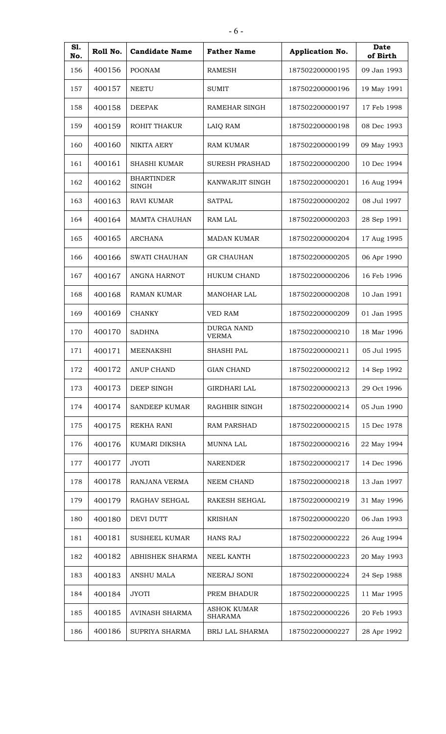| S1.<br>No. | Roll No. | <b>Candidate Name</b>             | <b>Father Name</b>                   | Application No. | Date<br>of Birth |
|------------|----------|-----------------------------------|--------------------------------------|-----------------|------------------|
| 156        | 400156   | <b>POONAM</b>                     | <b>RAMESH</b>                        | 187502200000195 | 09 Jan 1993      |
| 157        | 400157   | <b>NEETU</b>                      | <b>SUMIT</b>                         | 187502200000196 | 19 May 1991      |
| 158        | 400158   | <b>DEEPAK</b>                     | RAMEHAR SINGH                        | 187502200000197 | 17 Feb 1998      |
| 159        | 400159   | <b>ROHIT THAKUR</b>               | LAIQ RAM                             | 187502200000198 | 08 Dec 1993      |
| 160        | 400160   | <b>NIKITA AERY</b>                | <b>RAM KUMAR</b>                     | 187502200000199 | 09 May 1993      |
| 161        | 400161   | <b>SHASHI KUMAR</b>               | <b>SURESH PRASHAD</b>                | 187502200000200 | 10 Dec 1994      |
| 162        | 400162   | <b>BHARTINDER</b><br><b>SINGH</b> | KANWARJIT SINGH                      | 187502200000201 | 16 Aug 1994      |
| 163        | 400163   | <b>RAVI KUMAR</b>                 | <b>SATPAL</b>                        | 187502200000202 | 08 Jul 1997      |
| 164        | 400164   | <b>MAMTA CHAUHAN</b>              | <b>RAM LAL</b>                       | 187502200000203 | 28 Sep 1991      |
| 165        | 400165   | <b>ARCHANA</b>                    | <b>MADAN KUMAR</b>                   | 187502200000204 | 17 Aug 1995      |
| 166        | 400166   | <b>SWATI CHAUHAN</b>              | <b>GR CHAUHAN</b>                    | 187502200000205 | 06 Apr 1990      |
| 167        | 400167   | ANGNA HARNOT                      | <b>HUKUM CHAND</b>                   | 187502200000206 | 16 Feb 1996      |
| 168        | 400168   | <b>RAMAN KUMAR</b>                | <b>MANOHAR LAL</b>                   | 187502200000208 | 10 Jan 1991      |
| 169        | 400169   | <b>CHANKY</b>                     | <b>VED RAM</b>                       | 187502200000209 | 01 Jan 1995      |
| 170        | 400170   | <b>SADHNA</b>                     | <b>DURGA NAND</b><br><b>VERMA</b>    | 187502200000210 | 18 Mar 1996      |
| 171        | 400171   | <b>MEENAKSHI</b>                  | SHASHI PAL                           | 187502200000211 | 05 Jul 1995      |
| 172        | 400172   | ANUP CHAND                        | GIAN CHAND                           | 187502200000212 | 14 Sep 1992      |
| 173        | 400173   | DEEP SINGH                        | <b>GIRDHARI LAL</b>                  | 187502200000213 | 29 Oct 1996      |
| 174        | 400174   | <b>SANDEEP KUMAR</b>              | RAGHBIR SINGH                        | 187502200000214 | 05 Jun 1990      |
| 175        | 400175   | REKHA RANI                        | <b>RAM PARSHAD</b>                   | 187502200000215 | 15 Dec 1978      |
| 176        | 400176   | KUMARI DIKSHA                     | <b>MUNNA LAL</b>                     | 187502200000216 | 22 May 1994      |
| 177        | 400177   | <b>JYOTI</b>                      | <b>NARENDER</b>                      | 187502200000217 | 14 Dec 1996      |
| 178        | 400178   | RANJANA VERMA                     | <b>NEEM CHAND</b>                    | 187502200000218 | 13 Jan 1997      |
| 179        | 400179   | RAGHAV SEHGAL                     | <b>RAKESH SEHGAL</b>                 | 187502200000219 | 31 May 1996      |
| 180        | 400180   | DEVI DUTT                         | <b>KRISHAN</b>                       | 187502200000220 | 06 Jan 1993      |
| 181        | 400181   | <b>SUSHEEL KUMAR</b>              | HANS RAJ                             | 187502200000222 | 26 Aug 1994      |
| 182        | 400182   | ABHISHEK SHARMA                   | NEEL KANTH                           | 187502200000223 | 20 May 1993      |
| 183        | 400183   | ANSHU MALA                        | NEERAJ SONI                          | 187502200000224 | 24 Sep 1988      |
| 184        | 400184   | JYOTI                             | PREM BHADUR                          | 187502200000225 | 11 Mar 1995      |
| 185        | 400185   | AVINASH SHARMA                    | <b>ASHOK KUMAR</b><br><b>SHARAMA</b> | 187502200000226 | 20 Feb 1993      |
| 186        | 400186   | SUPRIYA SHARMA                    | BRIJ LAL SHARMA                      | 187502200000227 | 28 Apr 1992      |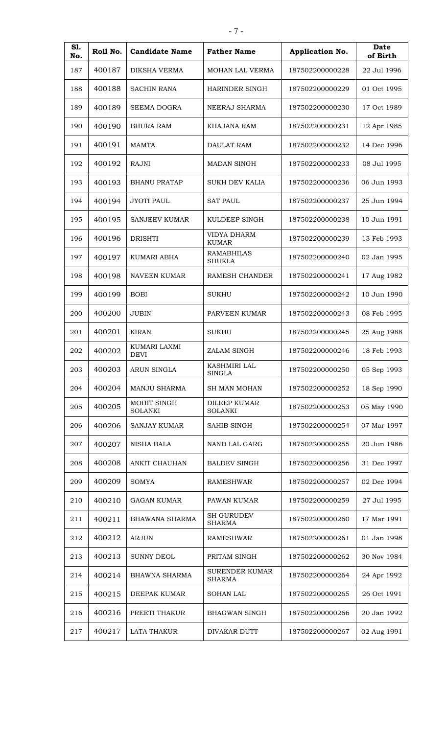| S1.<br>No. | Roll No. | <b>Candidate Name</b>         | <b>Father Name</b>                    | Application No. | Date<br>of Birth |
|------------|----------|-------------------------------|---------------------------------------|-----------------|------------------|
| 187        | 400187   | <b>DIKSHA VERMA</b>           | <b>MOHAN LAL VERMA</b>                | 187502200000228 | 22 Jul 1996      |
| 188        | 400188   | <b>SACHIN RANA</b>            | <b>HARINDER SINGH</b>                 | 187502200000229 | 01 Oct 1995      |
| 189        | 400189   | <b>SEEMA DOGRA</b>            | NEERAJ SHARMA                         | 187502200000230 | 17 Oct 1989      |
| 190        | 400190   | <b>BHURA RAM</b>              | KHAJANA RAM                           | 187502200000231 | 12 Apr 1985      |
| 191        | 400191   | <b>MAMTA</b>                  | <b>DAULAT RAM</b>                     | 187502200000232 | 14 Dec 1996      |
| 192        | 400192   | <b>RAJNI</b>                  | <b>MADAN SINGH</b>                    | 187502200000233 | 08 Jul 1995      |
| 193        | 400193   | <b>BHANU PRATAP</b>           | <b>SUKH DEV KALIA</b>                 | 187502200000236 | 06 Jun 1993      |
| 194        | 400194   | <b>JYOTI PAUL</b>             | <b>SAT PAUL</b>                       | 187502200000237 | 25 Jun 1994      |
| 195        | 400195   | <b>SANJEEV KUMAR</b>          | KULDEEP SINGH                         | 187502200000238 | 10 Jun 1991      |
| 196        | 400196   | <b>DRISHTI</b>                | <b>VIDYA DHARM</b><br><b>KUMAR</b>    | 187502200000239 | 13 Feb 1993      |
| 197        | 400197   | KUMARI ABHA                   | <b>RAMABHILAS</b><br><b>SHUKLA</b>    | 187502200000240 | 02 Jan 1995      |
| 198        | 400198   | <b>NAVEEN KUMAR</b>           | <b>RAMESH CHANDER</b>                 | 187502200000241 | 17 Aug 1982      |
| 199        | 400199   | <b>BOBI</b>                   | <b>SUKHU</b>                          | 187502200000242 | 10 Jun 1990      |
| 200        | 400200   | <b>JUBIN</b>                  | PARVEEN KUMAR                         | 187502200000243 | 08 Feb 1995      |
| 201        | 400201   | <b>KIRAN</b>                  | <b>SUKHU</b>                          | 187502200000245 | 25 Aug 1988      |
| 202        | 400202   | KUMARI LAXMI<br><b>DEVI</b>   | ZALAM SINGH                           | 187502200000246 | 18 Feb 1993      |
| 203        | 400203   | <b>ARUN SINGLA</b>            | KASHMIRI LAL<br><b>SINGLA</b>         | 187502200000250 | 05 Sep 1993      |
| 204        | 400204   | <b>MANJU SHARMA</b>           | <b>SH MAN MOHAN</b>                   | 187502200000252 | 18 Sep 1990      |
| 205        | 400205   | MOHIT SINGH<br><b>SOLANKI</b> | <b>DILEEP KUMAR</b><br><b>SOLANKI</b> | 187502200000253 | 05 May 1990      |
| 206        | 400206   | SANJAY KUMAR                  | SAHIB SINGH                           | 187502200000254 | 07 Mar 1997      |
| 207        | 400207   | <b>NISHA BALA</b>             | NAND LAL GARG                         | 187502200000255 | 20 Jun 1986      |
| 208        | 400208   | ANKIT CHAUHAN                 | <b>BALDEV SINGH</b>                   | 187502200000256 | 31 Dec 1997      |
| 209        | 400209   | <b>SOMYA</b>                  | RAMESHWAR                             | 187502200000257 | 02 Dec 1994      |
| 210        | 400210   | <b>GAGAN KUMAR</b>            | PAWAN KUMAR                           | 187502200000259 | 27 Jul 1995      |
| 211        | 400211   | BHAWANA SHARMA                | <b>SH GURUDEV</b><br><b>SHARMA</b>    | 187502200000260 | 17 Mar 1991      |
| 212        | 400212   | <b>ARJUN</b>                  | <b>RAMESHWAR</b>                      | 187502200000261 | 01 Jan 1998      |
| 213        | 400213   | <b>SUNNY DEOL</b>             | PRITAM SINGH                          | 187502200000262 | 30 Nov 1984      |
| 214        | 400214   | <b>BHAWNA SHARMA</b>          | <b>SURENDER KUMAR</b><br>SHARMA       | 187502200000264 | 24 Apr 1992      |
| 215        | 400215   | DEEPAK KUMAR                  | <b>SOHAN LAL</b>                      | 187502200000265 | 26 Oct 1991      |
| 216        | 400216   | PREETI THAKUR                 | <b>BHAGWAN SINGH</b>                  | 187502200000266 | 20 Jan 1992      |
| 217        | 400217   | <b>LATA THAKUR</b>            | DIVAKAR DUTT                          | 187502200000267 | 02 Aug 1991      |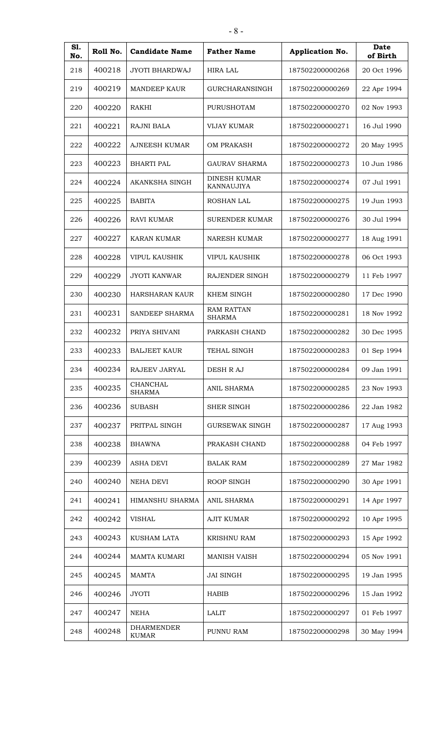| S1.<br>No. | Roll No. | <b>Candidate Name</b>             | <b>Father Name</b>                 | Application No. | Date<br>of Birth |
|------------|----------|-----------------------------------|------------------------------------|-----------------|------------------|
| 218        | 400218   | <b>JYOTI BHARDWAJ</b>             | <b>HIRA LAL</b>                    | 187502200000268 | 20 Oct 1996      |
| 219        | 400219   | <b>MANDEEP KAUR</b>               | GURCHARANSINGH                     | 187502200000269 | 22 Apr 1994      |
| 220        | 400220   | RAKHI                             | PURUSHOTAM                         | 187502200000270 | 02 Nov 1993      |
| 221        | 400221   | <b>RAJNI BALA</b>                 | VIJAY KUMAR                        | 187502200000271 | 16 Jul 1990      |
| 222        | 400222   | <b>AJNEESH KUMAR</b>              | OM PRAKASH                         | 187502200000272 | 20 May 1995      |
| 223        | 400223   | <b>BHARTI PAL</b>                 | <b>GAURAV SHARMA</b>               | 187502200000273 | 10 Jun 1986      |
| 224        | 400224   | AKANKSHA SINGH                    | <b>DINESH KUMAR</b><br>KANNAUJIYA  | 187502200000274 | 07 Jul 1991      |
| 225        | 400225   | <b>BABITA</b>                     | <b>ROSHAN LAL</b>                  | 187502200000275 | 19 Jun 1993      |
| 226        | 400226   | <b>RAVI KUMAR</b>                 | <b>SURENDER KUMAR</b>              | 187502200000276 | 30 Jul 1994      |
| 227        | 400227   | KARAN KUMAR                       | <b>NARESH KUMAR</b>                | 187502200000277 | 18 Aug 1991      |
| 228        | 400228   | VIPUL KAUSHIK                     | <b>VIPUL KAUSHIK</b>               | 187502200000278 | 06 Oct 1993      |
| 229        | 400229   | <b>JYOTI KANWAR</b>               | RAJENDER SINGH                     | 187502200000279 | 11 Feb 1997      |
| 230        | 400230   | <b>HARSHARAN KAUR</b>             | KHEM SINGH                         | 187502200000280 | 17 Dec 1990      |
| 231        | 400231   | SANDEEP SHARMA                    | <b>RAM RATTAN</b><br><b>SHARMA</b> | 187502200000281 | 18 Nov 1992      |
| 232        | 400232   | PRIYA SHIVANI                     | PARKASH CHAND                      | 187502200000282 | 30 Dec 1995      |
| 233        | 400233   | <b>BALJEET KAUR</b>               | <b>TEHAL SINGH</b>                 | 187502200000283 | 01 Sep 1994      |
| 234        | 400234   | RAJEEV JARYAL                     | DESH R AJ                          | 187502200000284 | 09 Jan 1991      |
| 235        | 400235   | CHANCHAL<br><b>SHARMA</b>         | <b>ANIL SHARMA</b>                 | 187502200000285 | 23 Nov 1993      |
| 236        | 400236   | <b>SUBASH</b>                     | <b>SHER SINGH</b>                  | 187502200000286 | 22 Jan 1982      |
| 237        | 400237   | PRITPAL SINGH                     | <b>GURSEWAK SINGH</b>              | 187502200000287 | 17 Aug 1993      |
| 238        | 400238   | <b>BHAWNA</b>                     | PRAKASH CHAND                      | 187502200000288 | 04 Feb 1997      |
| 239        | 400239   | ASHA DEVI                         | <b>BALAK RAM</b>                   | 187502200000289 | 27 Mar 1982      |
| 240        | 400240   | NEHA DEVI                         | ROOP SINGH                         | 187502200000290 | 30 Apr 1991      |
| 241        | 400241   | HIMANSHU SHARMA                   | <b>ANIL SHARMA</b>                 | 187502200000291 | 14 Apr 1997      |
| 242        | 400242   | <b>VISHAL</b>                     | <b>AJIT KUMAR</b>                  | 187502200000292 | 10 Apr 1995      |
| 243        | 400243   | KUSHAM LATA                       | <b>KRISHNU RAM</b>                 | 187502200000293 | 15 Apr 1992      |
| 244        | 400244   | MAMTA KUMARI                      | <b>MANISH VAISH</b>                | 187502200000294 | 05 Nov 1991      |
| 245        | 400245   | <b>MAMTA</b>                      | <b>JAI SINGH</b>                   | 187502200000295 | 19 Jan 1995      |
| 246        | 400246   | <b>JYOTI</b>                      | HABIB                              | 187502200000296 | 15 Jan 1992      |
| 247        | 400247   | <b>NEHA</b>                       | <b>LALIT</b>                       | 187502200000297 | 01 Feb 1997      |
| 248        | 400248   | <b>DHARMENDER</b><br><b>KUMAR</b> | PUNNU RAM                          | 187502200000298 | 30 May 1994      |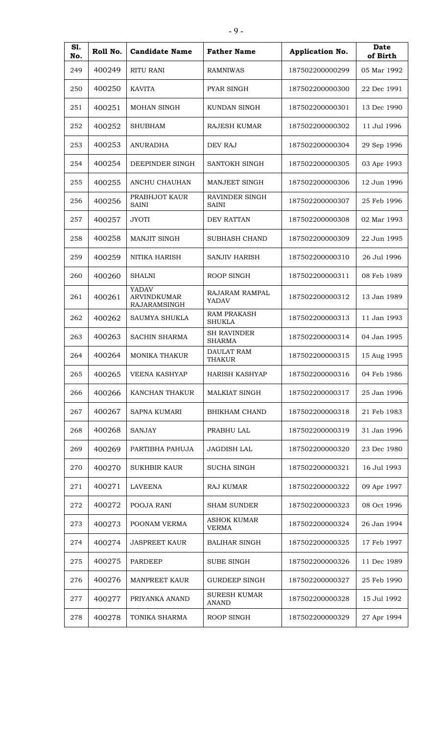| S1.<br>No. | Roll No. | <b>Candidate Name</b>                       | <b>Father Name</b>                  | <b>Application No.</b> | Date<br>of Birth |
|------------|----------|---------------------------------------------|-------------------------------------|------------------------|------------------|
| 249        | 400249   | <b>RITU RANI</b>                            | <b>RAMNIWAS</b>                     | 187502200000299        | 05 Mar 1992      |
| 250        | 400250   | <b>KAVITA</b>                               | PYAR SINGH                          | 187502200000300        | 22 Dec 1991      |
| 251        | 400251   | MOHAN SINGH                                 | KUNDAN SINGH                        | 187502200000301        | 13 Dec 1990      |
| 252        | 400252   | <b>SHUBHAM</b>                              | <b>RAJESH KUMAR</b>                 | 187502200000302        | 11 Jul 1996      |
| 253        | 400253   | <b>ANURADHA</b>                             | DEV RAJ                             | 187502200000304        | 29 Sep 1996      |
| 254        | 400254   | DEEPINDER SINGH                             | SANTOKH SINGH                       | 187502200000305        | 03 Apr 1993      |
| 255        | 400255   | ANCHU CHAUHAN                               | MANJEET SINGH                       | 187502200000306        | 12 Jun 1996      |
| 256        | 400256   | PRABHJOT KAUR<br><b>SAINI</b>               | RAVINDER SINGH<br><b>SAINI</b>      | 187502200000307        | 25 Feb 1996      |
| 257        | 400257   | <b>JYOTI</b>                                | DEV RATTAN                          | 187502200000308        | 02 Mar 1993      |
| 258        | 400258   | MANJIT SINGH                                | <b>SUBHASH CHAND</b>                | 187502200000309        | 22 Jun 1995      |
| 259        | 400259   | NITIKA HARISH                               | <b>SANJIV HARISH</b>                | 187502200000310        | 26 Jul 1996      |
| 260        | 400260   | <b>SHALNI</b>                               | ROOP SINGH                          | 187502200000311        | 08 Feb 1989      |
| 261        | 400261   | YADAV<br><b>ARVINDKUMAR</b><br>RAJARAMSINGH | RAJARAM RAMPAL<br>YADAV             | 187502200000312        | 13 Jan 1989      |
| 262        | 400262   | SAUMYA SHUKLA                               | <b>RAM PRAKASH</b><br><b>SHUKLA</b> | 187502200000313        | 11 Jan 1993      |
| 263        | 400263   | <b>SACHIN SHARMA</b>                        | <b>SH RAVINDER</b><br><b>SHARMA</b> | 187502200000314        | 04 Jan 1995      |
| 264        | 400264   | <b>MONIKA THAKUR</b>                        | DAULAT RAM<br><b>THAKUR</b>         | 187502200000315        | 15 Aug 1995      |
| 265        | 400265   | <b>VEENA KASHYAP</b>                        | HARISH KASHYAP                      | 187502200000316        | 04 Feb 1986      |
| 266        | 400266   | KANCHAN THAKUR                              | MALKIAT SINGH                       | 187502200000317        | 25 Jan 1996      |
| 267        | 400267   | <b>SAPNA KUMARI</b>                         | <b>BHIKHAM CHAND</b>                | 187502200000318        | 21 Feb 1983      |
| 268        | 400268   | <b>SANJAY</b>                               | PRABHU LAL                          | 187502200000319        | 31 Jan 1996      |
| 269        | 400269   | PARTIBHA PAHUJA                             | <b>JAGDISH LAL</b>                  | 187502200000320        | 23 Dec 1980      |
| 270        | 400270   | <b>SUKHBIR KAUR</b>                         | <b>SUCHA SINGH</b>                  | 187502200000321        | 16 Jul 1993      |
| 271        | 400271   | <b>LAVEENA</b>                              | RAJ KUMAR                           | 187502200000322        | 09 Apr 1997      |
| 272        | 400272   | POOJA RANI                                  | <b>SHAM SUNDER</b>                  | 187502200000323        | 08 Oct 1996      |
| 273        | 400273   | POONAM VERMA                                | <b>ASHOK KUMAR</b><br><b>VERMA</b>  | 187502200000324        | 26 Jan 1994      |
| 274        | 400274   | <b>JASPREET KAUR</b>                        | <b>BALIHAR SINGH</b>                | 187502200000325        | 17 Feb 1997      |
| 275        | 400275   | <b>PARDEEP</b>                              | <b>SUBE SINGH</b>                   | 187502200000326        | 11 Dec 1989      |
| 276        | 400276   | <b>MANPREET KAUR</b>                        | <b>GURDEEP SINGH</b>                | 187502200000327        | 25 Feb 1990      |
| 277        | 400277   | PRIYANKA ANAND                              | <b>SURESH KUMAR</b><br><b>ANAND</b> | 187502200000328        | 15 Jul 1992      |
| 278        | 400278   | TONIKA SHARMA                               | ROOP SINGH                          | 187502200000329        | 27 Apr 1994      |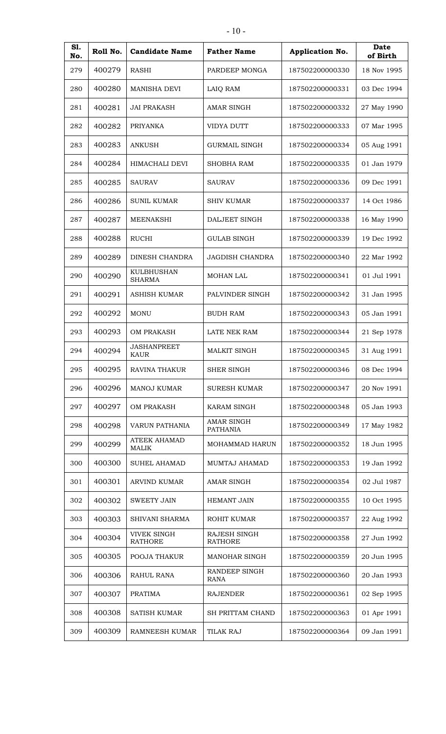| S1.<br>No. | Roll No. | <b>Candidate Name</b>                | <b>Father Name</b>             | Application No. | Date<br>of Birth |
|------------|----------|--------------------------------------|--------------------------------|-----------------|------------------|
| 279        | 400279   | RASHI                                | PARDEEP MONGA                  | 187502200000330 | 18 Nov 1995      |
| 280        | 400280   | <b>MANISHA DEVI</b>                  | LAIQ RAM                       | 187502200000331 | 03 Dec 1994      |
| 281        | 400281   | <b>JAI PRAKASH</b>                   | <b>AMAR SINGH</b>              | 187502200000332 | 27 May 1990      |
| 282        | 400282   | <b>PRIYANKA</b>                      | <b>VIDYA DUTT</b>              | 187502200000333 | 07 Mar 1995      |
| 283        | 400283   | <b>ANKUSH</b>                        | <b>GURMAIL SINGH</b>           | 187502200000334 | 05 Aug 1991      |
| 284        | 400284   | HIMACHALI DEVI                       | SHOBHA RAM                     | 187502200000335 | 01 Jan 1979      |
| 285        | 400285   | <b>SAURAV</b>                        | <b>SAURAV</b>                  | 187502200000336 | 09 Dec 1991      |
| 286        | 400286   | <b>SUNIL KUMAR</b>                   | SHIV KUMAR                     | 187502200000337 | 14 Oct 1986      |
| 287        | 400287   | <b>MEENAKSHI</b>                     | DALJEET SINGH                  | 187502200000338 | 16 May 1990      |
| 288        | 400288   | <b>RUCHI</b>                         | <b>GULAB SINGH</b>             | 187502200000339 | 19 Dec 1992      |
| 289        | 400289   | DINESH CHANDRA                       | <b>JAGDISH CHANDRA</b>         | 187502200000340 | 22 Mar 1992      |
| 290        | 400290   | KULBHUSHAN<br><b>SHARMA</b>          | MOHAN LAL                      | 187502200000341 | 01 Jul 1991      |
| 291        | 400291   | ASHISH KUMAR                         | PALVINDER SINGH                | 187502200000342 | 31 Jan 1995      |
| 292        | 400292   | <b>MONU</b>                          | <b>BUDH RAM</b>                | 187502200000343 | 05 Jan 1991      |
| 293        | 400293   | <b>OM PRAKASH</b>                    | LATE NEK RAM                   | 187502200000344 | 21 Sep 1978      |
| 294        | 400294   | <b>JASHANPREET</b><br><b>KAUR</b>    | <b>MALKIT SINGH</b>            | 187502200000345 | 31 Aug 1991      |
| 295        | 400295   | <b>RAVINA THAKUR</b>                 | <b>SHER SINGH</b>              | 187502200000346 | 08 Dec 1994      |
| 296        | 400296   | MANOJ KUMAR                          | <b>SURESH KUMAR</b>            | 187502200000347 | 20 Nov 1991      |
| 297        | 400297   | <b>OM PRAKASH</b>                    | <b>KARAM SINGH</b>             | 187502200000348 | 05 Jan 1993      |
| 298        | 400298   | VARUN PATHANIA                       | AMAR SINGH<br><b>PATHANIA</b>  | 187502200000349 | 17 May 1982      |
| 299        | 400299   | <b>ATEEK AHAMAD</b><br>MALIK         | <b>MOHAMMAD HARUN</b>          | 187502200000352 | 18 Jun 1995      |
| 300        | 400300   | <b>SUHEL AHAMAD</b>                  | MUMTAJ AHAMAD                  | 187502200000353 | 19 Jan 1992      |
| 301        | 400301   | <b>ARVIND KUMAR</b>                  | <b>AMAR SINGH</b>              | 187502200000354 | 02 Jul 1987      |
| 302        | 400302   | <b>SWEETY JAIN</b>                   | <b>HEMANT JAIN</b>             | 187502200000355 | 10 Oct 1995      |
| 303        | 400303   | SHIVANI SHARMA                       | ROHIT KUMAR                    | 187502200000357 | 22 Aug 1992      |
| 304        | 400304   | <b>VIVEK SINGH</b><br><b>RATHORE</b> | RAJESH SINGH<br><b>RATHORE</b> | 187502200000358 | 27 Jun 1992      |
| 305        | 400305   | POOJA THAKUR                         | MANOHAR SINGH                  | 187502200000359 | 20 Jun 1995      |
| 306        | 400306   | RAHUL RANA                           | RANDEEP SINGH<br><b>RANA</b>   | 187502200000360 | 20 Jan 1993      |
| 307        | 400307   | <b>PRATIMA</b>                       | <b>RAJENDER</b>                | 187502200000361 | 02 Sep 1995      |
| 308        | 400308   | <b>SATISH KUMAR</b>                  | SH PRITTAM CHAND               | 187502200000363 | 01 Apr 1991      |
| 309        | 400309   | RAMNEESH KUMAR                       | TILAK RAJ                      | 187502200000364 | 09 Jan 1991      |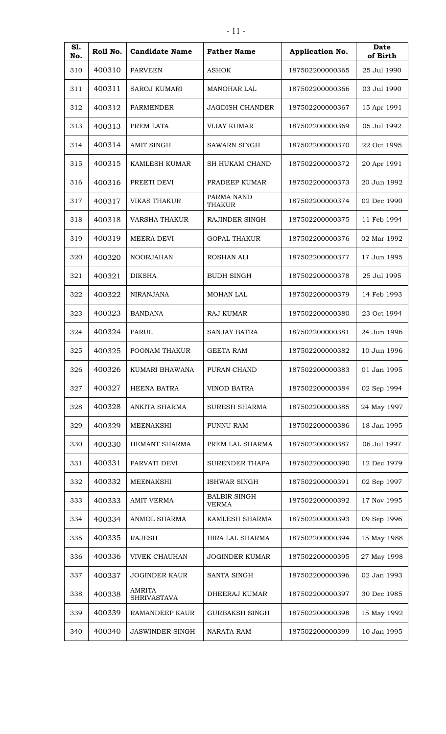| S1.<br>No. | Roll No. | <b>Candidate Name</b>               | <b>Father Name</b>                  | <b>Application No.</b> | Date<br>of Birth |
|------------|----------|-------------------------------------|-------------------------------------|------------------------|------------------|
| 310        | 400310   | <b>PARVEEN</b>                      | <b>ASHOK</b>                        | 187502200000365        | 25 Jul 1990      |
| 311        | 400311   | <b>SAROJ KUMARI</b>                 | <b>MANOHAR LAL</b>                  | 187502200000366        | 03 Jul 1990      |
| 312        | 400312   | <b>PARMENDER</b>                    | <b>JAGDISH CHANDER</b>              | 187502200000367        | 15 Apr 1991      |
| 313        | 400313   | PREM LATA                           | <b>VIJAY KUMAR</b>                  | 187502200000369        | 05 Jul 1992      |
| 314        | 400314   | <b>AMIT SINGH</b>                   | <b>SAWARN SINGH</b>                 | 187502200000370        | 22 Oct 1995      |
| 315        | 400315   | <b>KAMLESH KUMAR</b>                | <b>SH HUKAM CHAND</b>               | 187502200000372        | 20 Apr 1991      |
| 316        | 400316   | PREETI DEVI                         | PRADEEP KUMAR                       | 187502200000373        | 20 Jun 1992      |
| 317        | 400317   | <b>VIKAS THAKUR</b>                 | PARMA NAND<br><b>THAKUR</b>         | 187502200000374        | 02 Dec 1990      |
| 318        | 400318   | <b>VARSHA THAKUR</b>                | RAJINDER SINGH                      | 187502200000375        | 11 Feb 1994      |
| 319        | 400319   | <b>MEERA DEVI</b>                   | <b>GOPAL THAKUR</b>                 | 187502200000376        | 02 Mar 1992      |
| 320        | 400320   | <b>NOORJAHAN</b>                    | ROSHAN ALI                          | 187502200000377        | 17 Jun 1995      |
| 321        | 400321   | <b>DIKSHA</b>                       | <b>BUDH SINGH</b>                   | 187502200000378        | 25 Jul 1995      |
| 322        | 400322   | <b>NIRANJANA</b>                    | <b>MOHAN LAL</b>                    | 187502200000379        | 14 Feb 1993      |
| 323        | 400323   | <b>BANDANA</b>                      | <b>RAJ KUMAR</b>                    | 187502200000380        | 23 Oct 1994      |
| 324        | 400324   | <b>PARUL</b>                        | <b>SANJAY BATRA</b>                 | 187502200000381        | 24 Jun 1996      |
| 325        | 400325   | POONAM THAKUR                       | <b>GEETA RAM</b>                    | 187502200000382        | 10 Jun 1996      |
| 326        | 400326   | KUMARI BHAWANA                      | PURAN CHAND                         | 187502200000383        | 01 Jan 1995      |
| 327        | 400327   | <b>HEENA BATRA</b>                  | VINOD BATRA                         | 187502200000384        | 02 Sep 1994      |
| 328        | 400328   | ANKITA SHARMA                       | SURESH SHARMA                       | 187502200000385        | 24 May 1997      |
| 329        | 400329   | <b>MEENAKSHI</b>                    | PUNNU RAM                           | 187502200000386        | 18 Jan 1995      |
| 330        | 400330   | HEMANT SHARMA                       | PREM LAL SHARMA                     | 187502200000387        | 06 Jul 1997      |
| 331        | 400331   | PARVATI DEVI                        | <b>SURENDER THAPA</b>               | 187502200000390        | 12 Dec 1979      |
| 332        | 400332   | MEENAKSHI                           | ISHWAR SINGH                        | 187502200000391        | 02 Sep 1997      |
| 333        | 400333   | <b>AMIT VERMA</b>                   | <b>BALBIR SINGH</b><br><b>VERMA</b> | 187502200000392        | 17 Nov 1995      |
| 334        | 400334   | ANMOL SHARMA                        | KAMLESH SHARMA                      | 187502200000393        | 09 Sep 1996      |
| 335        | 400335   | <b>RAJESH</b>                       | HIRA LAL SHARMA                     | 187502200000394        | 15 May 1988      |
| 336        | 400336   | <b>VIVEK CHAUHAN</b>                | <b>JOGINDER KUMAR</b>               | 187502200000395        | 27 May 1998      |
| 337        | 400337   | <b>JOGINDER KAUR</b>                | SANTA SINGH                         | 187502200000396        | 02 Jan 1993      |
| 338        | 400338   | <b>AMRITA</b><br><b>SHRIVASTAVA</b> | DHEERAJ KUMAR                       | 187502200000397        | 30 Dec 1985      |
| 339        | 400339   | <b>RAMANDEEP KAUR</b>               | <b>GURBAKSH SINGH</b>               | 187502200000398        | 15 May 1992      |
| 340        | 400340   | <b>JASWINDER SINGH</b>              | NARATA RAM                          | 187502200000399        | 10 Jan 1995      |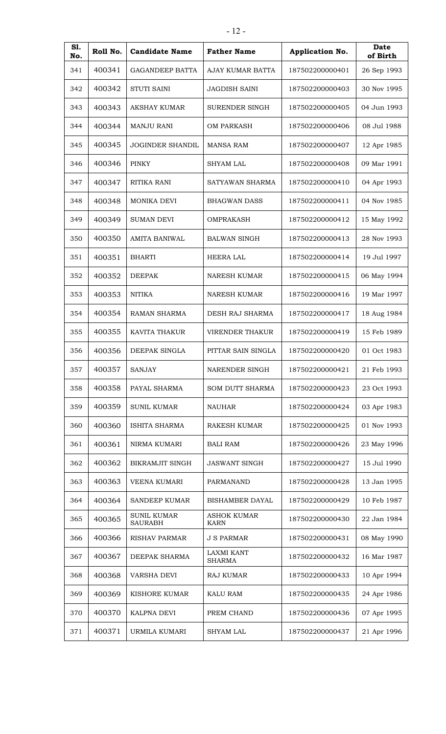| S1.<br>No. | Roll No. | <b>Candidate Name</b>                | <b>Father Name</b>                 | Application No. | Date<br>of Birth |
|------------|----------|--------------------------------------|------------------------------------|-----------------|------------------|
| 341        | 400341   | <b>GAGANDEEP BATTA</b>               | AJAY KUMAR BATTA                   | 187502200000401 | 26 Sep 1993      |
| 342        | 400342   | <b>STUTI SAINI</b>                   | <b>JAGDISH SAINI</b>               | 187502200000403 | 30 Nov 1995      |
| 343        | 400343   | <b>AKSHAY KUMAR</b>                  | SURENDER SINGH                     | 187502200000405 | 04 Jun 1993      |
| 344        | 400344   | <b>MANJU RANI</b>                    | <b>OM PARKASH</b>                  | 187502200000406 | 08 Jul 1988      |
| 345        | 400345   | <b>JOGINDER SHANDIL</b>              | <b>MANSA RAM</b>                   | 187502200000407 | 12 Apr 1985      |
| 346        | 400346   | <b>PINKY</b>                         | SHYAM LAL                          | 187502200000408 | 09 Mar 1991      |
| 347        | 400347   | RITIKA RANI                          | SATYAWAN SHARMA                    | 187502200000410 | 04 Apr 1993      |
| 348        | 400348   | MONIKA DEVI                          | <b>BHAGWAN DASS</b>                | 187502200000411 | 04 Nov 1985      |
| 349        | 400349   | <b>SUMAN DEVI</b>                    | OMPRAKASH                          | 187502200000412 | 15 May 1992      |
| 350        | 400350   | <b>AMITA BANIWAL</b>                 | <b>BALWAN SINGH</b>                | 187502200000413 | 28 Nov 1993      |
| 351        | 400351   | <b>BHARTI</b>                        | <b>HEERA LAL</b>                   | 187502200000414 | 19 Jul 1997      |
| 352        | 400352   | <b>DEEPAK</b>                        | <b>NARESH KUMAR</b>                | 187502200000415 | 06 May 1994      |
| 353        | 400353   | <b>NITIKA</b>                        | <b>NARESH KUMAR</b>                | 187502200000416 | 19 Mar 1997      |
| 354        | 400354   | <b>RAMAN SHARMA</b>                  | DESH RAJ SHARMA                    | 187502200000417 | 18 Aug 1984      |
| 355        | 400355   | KAVITA THAKUR                        | <b>VIRENDER THAKUR</b>             | 187502200000419 | 15 Feb 1989      |
| 356        | 400356   | DEEPAK SINGLA                        | PITTAR SAIN SINGLA                 | 187502200000420 | 01 Oct 1983      |
| 357        | 400357   | <b>SANJAY</b>                        | <b>NARENDER SINGH</b>              | 187502200000421 | 21 Feb 1993      |
| 358        | 400358   | PAYAL SHARMA                         | SOM DUTT SHARMA                    | 187502200000423 | 23 Oct 1993      |
| 359        | 400359   | <b>SUNIL KUMAR</b>                   | NAUHAR                             | 187502200000424 | 03 Apr 1983      |
| 360        | 400360   | ISHITA SHARMA                        | RAKESH KUMAR                       | 187502200000425 | 01 Nov 1993      |
| 361        | 400361   | NIRMA KUMARI                         | <b>BALI RAM</b>                    | 187502200000426 | 23 May 1996      |
| 362        | 400362   | <b>BIKRAMJIT SINGH</b>               | <b>JASWANT SINGH</b>               | 187502200000427 | 15 Jul 1990      |
| 363        | 400363   | VEENA KUMARI                         | PARMANAND                          | 187502200000428 | 13 Jan 1995      |
| 364        | 400364   | <b>SANDEEP KUMAR</b>                 | <b>BISHAMBER DAYAL</b>             | 187502200000429 | 10 Feb 1987      |
| 365        | 400365   | <b>SUNIL KUMAR</b><br><b>SAURABH</b> | <b>ASHOK KUMAR</b><br><b>KARN</b>  | 187502200000430 | 22 Jan 1984      |
| 366        | 400366   | RISHAV PARMAR                        | <b>J S PARMAR</b>                  | 187502200000431 | 08 May 1990      |
| 367        | 400367   | DEEPAK SHARMA                        | <b>LAXMI KANT</b><br><b>SHARMA</b> | 187502200000432 | 16 Mar 1987      |
| 368        | 400368   | <b>VARSHA DEVI</b>                   | RAJ KUMAR                          | 187502200000433 | 10 Apr 1994      |
| 369        | 400369   | KISHORE KUMAR                        | <b>KALU RAM</b>                    | 187502200000435 | 24 Apr 1986      |
| 370        | 400370   | KALPNA DEVI                          | PREM CHAND                         | 187502200000436 | 07 Apr 1995      |
| 371        | 400371   | URMILA KUMARI                        | <b>SHYAM LAL</b>                   | 187502200000437 | 21 Apr 1996      |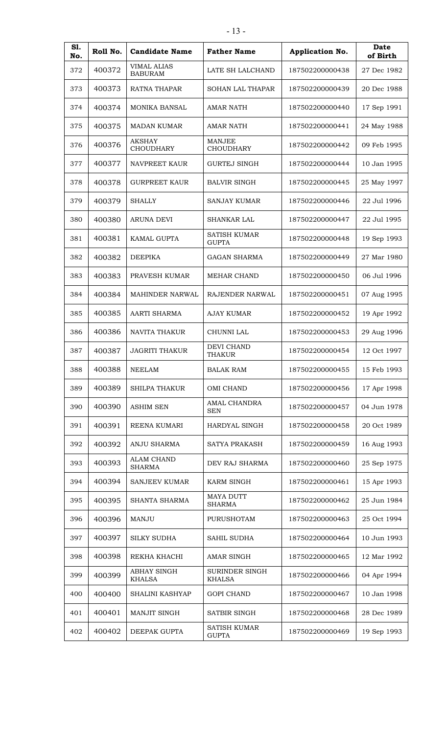| S1.<br>No. | Roll No. | <b>Candidate Name</b>                | <b>Father Name</b>                  | Application No. | Date<br>of Birth |
|------------|----------|--------------------------------------|-------------------------------------|-----------------|------------------|
| 372        | 400372   | <b>VIMAL ALIAS</b><br><b>BABURAM</b> | LATE SH LALCHAND                    | 187502200000438 | 27 Dec 1982      |
| 373        | 400373   | <b>RATNA THAPAR</b>                  | <b>SOHAN LAL THAPAR</b>             | 187502200000439 | 20 Dec 1988      |
| 374        | 400374   | <b>MONIKA BANSAL</b>                 | <b>AMAR NATH</b>                    | 187502200000440 | 17 Sep 1991      |
| 375        | 400375   | <b>MADAN KUMAR</b>                   | <b>AMAR NATH</b>                    | 187502200000441 | 24 May 1988      |
| 376        | 400376   | <b>AKSHAY</b><br><b>CHOUDHARY</b>    | <b>MANJEE</b><br><b>CHOUDHARY</b>   | 187502200000442 | 09 Feb 1995      |
| 377        | 400377   | NAVPREET KAUR                        | <b>GURTEJ SINGH</b>                 | 187502200000444 | 10 Jan 1995      |
| 378        | 400378   | <b>GURPREET KAUR</b>                 | <b>BALVIR SINGH</b>                 | 187502200000445 | 25 May 1997      |
| 379        | 400379   | <b>SHALLY</b>                        | <b>SANJAY KUMAR</b>                 | 187502200000446 | 22 Jul 1996      |
| 380        | 400380   | <b>ARUNA DEVI</b>                    | SHANKAR LAL                         | 187502200000447 | 22 Jul 1995      |
| 381        | 400381   | <b>KAMAL GUPTA</b>                   | <b>SATISH KUMAR</b><br><b>GUPTA</b> | 187502200000448 | 19 Sep 1993      |
| 382        | 400382   | <b>DEEPIKA</b>                       | <b>GAGAN SHARMA</b>                 | 187502200000449 | 27 Mar 1980      |
| 383        | 400383   | PRAVESH KUMAR                        | <b>MEHAR CHAND</b>                  | 187502200000450 | 06 Jul 1996      |
| 384        | 400384   | <b>MAHINDER NARWAL</b>               | RAJENDER NARWAL                     | 187502200000451 | 07 Aug 1995      |
| 385        | 400385   | <b>AARTI SHARMA</b>                  | <b>AJAY KUMAR</b>                   | 187502200000452 | 19 Apr 1992      |
| 386        | 400386   | NAVITA THAKUR                        | CHUNNI LAL                          | 187502200000453 | 29 Aug 1996      |
| 387        | 400387   | <b>JAGRITI THAKUR</b>                | <b>DEVI CHAND</b><br>THAKUR         | 187502200000454 | 12 Oct 1997      |
| 388        | 400388   | <b>NEELAM</b>                        | <b>BALAK RAM</b>                    | 187502200000455 | 15 Feb 1993      |
| 389        | 400389   | <b>SHILPA THAKUR</b>                 | OMI CHAND                           | 187502200000456 | 17 Apr 1998      |
| 390        | 400390   | <b>ASHIM SEN</b>                     | <b>AMAL CHANDRA</b><br><b>SEN</b>   | 187502200000457 | 04 Jun 1978      |
| 391        | 400391   | REENA KUMARI                         | HARDYAL SINGH                       | 187502200000458 | 20 Oct 1989      |
| 392        | 400392   | <b>ANJU SHARMA</b>                   | SATYA PRAKASH                       | 187502200000459 | 16 Aug 1993      |
| 393        | 400393   | <b>ALAM CHAND</b><br><b>SHARMA</b>   | DEV RAJ SHARMA                      | 187502200000460 | 25 Sep 1975      |
| 394        | 400394   | <b>SANJEEV KUMAR</b>                 | <b>KARM SINGH</b>                   | 187502200000461 | 15 Apr 1993      |
| 395        | 400395   | SHANTA SHARMA                        | <b>MAYA DUTT</b><br><b>SHARMA</b>   | 187502200000462 | 25 Jun 1984      |
| 396        | 400396   | <b>MANJU</b>                         | PURUSHOTAM                          | 187502200000463 | 25 Oct 1994      |
| 397        | 400397   | <b>SILKY SUDHA</b>                   | SAHIL SUDHA                         | 187502200000464 | 10 Jun 1993      |
| 398        | 400398   | REKHA KHACHI                         | AMAR SINGH                          | 187502200000465 | 12 Mar 1992      |
| 399        | 400399   | <b>ABHAY SINGH</b><br><b>KHALSA</b>  | SURINDER SINGH<br><b>KHALSA</b>     | 187502200000466 | 04 Apr 1994      |
| 400        | 400400   | SHALINI KASHYAP                      | <b>GOPI CHAND</b>                   | 187502200000467 | 10 Jan 1998      |
| 401        | 400401   | <b>MANJIT SINGH</b>                  | SATBIR SINGH                        | 187502200000468 | 28 Dec 1989      |
| 402        | 400402   | DEEPAK GUPTA                         | <b>SATISH KUMAR</b><br><b>GUPTA</b> | 187502200000469 | 19 Sep 1993      |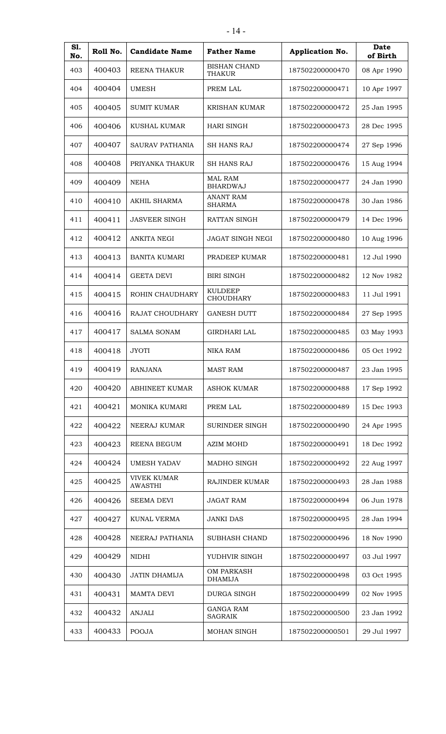| S1.<br>No. | Roll No. | <b>Candidate Name</b>                | <b>Father Name</b>                   | Application No. | <b>Date</b><br>of Birth |
|------------|----------|--------------------------------------|--------------------------------------|-----------------|-------------------------|
| 403        | 400403   | REENA THAKUR                         | <b>BISHAN CHAND</b><br><b>THAKUR</b> | 187502200000470 | 08 Apr 1990             |
| 404        | 400404   | UMESH                                | PREM LAL                             | 187502200000471 | 10 Apr 1997             |
| 405        | 400405   | <b>SUMIT KUMAR</b>                   | <b>KRISHAN KUMAR</b>                 | 187502200000472 | 25 Jan 1995             |
| 406        | 400406   | KUSHAL KUMAR                         | <b>HARI SINGH</b>                    | 187502200000473 | 28 Dec 1995             |
| 407        | 400407   | SAURAV PATHANIA                      | SH HANS RAJ                          | 187502200000474 | 27 Sep 1996             |
| 408        | 400408   | PRIYANKA THAKUR                      | SH HANS RAJ                          | 187502200000476 | 15 Aug 1994             |
| 409        | 400409   | <b>NEHA</b>                          | <b>MAL RAM</b><br><b>BHARDWAJ</b>    | 187502200000477 | 24 Jan 1990             |
| 410        | 400410   | <b>AKHIL SHARMA</b>                  | <b>ANANT RAM</b><br><b>SHARMA</b>    | 187502200000478 | 30 Jan 1986             |
| 411        | 400411   | <b>JASVEER SINGH</b>                 | RATTAN SINGH                         | 187502200000479 | 14 Dec 1996             |
| 412        | 400412   | <b>ANKITA NEGI</b>                   | <b>JAGAT SINGH NEGI</b>              | 187502200000480 | 10 Aug 1996             |
| 413        | 400413   | <b>BANITA KUMARI</b>                 | PRADEEP KUMAR                        | 187502200000481 | 12 Jul 1990             |
| 414        | 400414   | <b>GEETA DEVI</b>                    | <b>BIRI SINGH</b>                    | 187502200000482 | 12 Nov 1982             |
| 415        | 400415   | ROHIN CHAUDHARY                      | <b>KULDEEP</b><br><b>CHOUDHARY</b>   | 187502200000483 | 11 Jul 1991             |
| 416        | 400416   | RAJAT CHOUDHARY                      | <b>GANESH DUTT</b>                   | 187502200000484 | 27 Sep 1995             |
| 417        | 400417   | <b>SALMA SONAM</b>                   | <b>GIRDHARI LAL</b>                  | 187502200000485 | 03 May 1993             |
| 418        | 400418   | <b>JYOTI</b>                         | <b>NIKA RAM</b>                      | 187502200000486 | 05 Oct 1992             |
| 419        | 400419   | <b>RANJANA</b>                       | <b>MAST RAM</b>                      | 187502200000487 | 23 Jan 1995             |
| 420        | 400420   | ABHINEET KUMAR                       | <b>ASHOK KUMAR</b>                   | 187502200000488 | 17 Sep 1992             |
| 421        | 400421   | MONIKA KUMARI                        | PREM LAL                             | 187502200000489 | 15 Dec 1993             |
| 422        | 400422   | NEERAJ KUMAR                         | <b>SURINDER SINGH</b>                | 187502200000490 | 24 Apr 1995             |
| 423        | 400423   | <b>REENA BEGUM</b>                   | <b>AZIM MOHD</b>                     | 187502200000491 | 18 Dec 1992             |
| 424        | 400424   | <b>UMESH YADAV</b>                   | MADHO SINGH                          | 187502200000492 | 22 Aug 1997             |
| 425        | 400425   | <b>VIVEK KUMAR</b><br><b>AWASTHI</b> | RAJINDER KUMAR                       | 187502200000493 | 28 Jan 1988             |
| 426        | 400426   | <b>SEEMA DEVI</b>                    | <b>JAGAT RAM</b>                     | 187502200000494 | 06 Jun 1978             |
| 427        | 400427   | KUNAL VERMA                          | <b>JANKI DAS</b>                     | 187502200000495 | 28 Jan 1994             |
| 428        | 400428   | NEERAJ PATHANIA                      | SUBHASH CHAND                        | 187502200000496 | 18 Nov 1990             |
| 429        | 400429   | NIDHI                                | YUDHVIR SINGH                        | 187502200000497 | 03 Jul 1997             |
| 430        | 400430   | <b>JATIN DHAMIJA</b>                 | <b>OM PARKASH</b><br><b>DHAMIJA</b>  | 187502200000498 | 03 Oct 1995             |
| 431        | 400431   | <b>MAMTA DEVI</b>                    | DURGA SINGH                          | 187502200000499 | 02 Nov 1995             |
| 432        | 400432   | <b>ANJALI</b>                        | <b>GANGA RAM</b><br><b>SAGRAIK</b>   | 187502200000500 | 23 Jan 1992             |
| 433        | 400433   | <b>POOJA</b>                         | MOHAN SINGH                          | 187502200000501 | 29 Jul 1997             |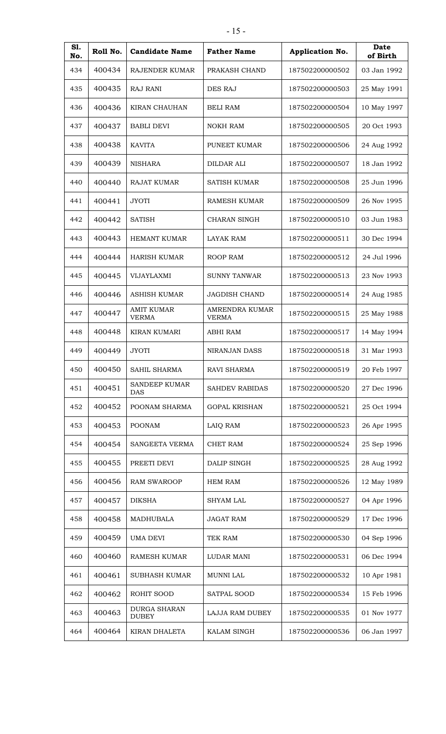| S1.<br>No. | Roll No. | <b>Candidate Name</b>               | <b>Father Name</b>             | Application No. | <b>Date</b><br>of Birth |
|------------|----------|-------------------------------------|--------------------------------|-----------------|-------------------------|
| 434        | 400434   | RAJENDER KUMAR                      | PRAKASH CHAND                  | 187502200000502 | 03 Jan 1992             |
| 435        | 400435   | RAJ RANI                            | DES RAJ                        | 187502200000503 | 25 May 1991             |
| 436        | 400436   | <b>KIRAN CHAUHAN</b>                | <b>BELI RAM</b>                | 187502200000504 | 10 May 1997             |
| 437        | 400437   | <b>BABLI DEVI</b>                   | <b>NOKH RAM</b>                | 187502200000505 | 20 Oct 1993             |
| 438        | 400438   | <b>KAVITA</b>                       | PUNEET KUMAR                   | 187502200000506 | 24 Aug 1992             |
| 439        | 400439   | <b>NISHARA</b>                      | DILDAR ALI                     | 187502200000507 | 18 Jan 1992             |
| 440        | 400440   | <b>RAJAT KUMAR</b>                  | <b>SATISH KUMAR</b>            | 187502200000508 | 25 Jun 1996             |
| 441        | 400441   | <b>JYOTI</b>                        | <b>RAMESH KUMAR</b>            | 187502200000509 | 26 Nov 1995             |
| 442        | 400442   | <b>SATISH</b>                       | CHARAN SINGH                   | 187502200000510 | 03 Jun 1983             |
| 443        | 400443   | <b>HEMANT KUMAR</b>                 | LAYAK RAM                      | 187502200000511 | 30 Dec 1994             |
| 444        | 400444   | <b>HARISH KUMAR</b>                 | <b>ROOP RAM</b>                | 187502200000512 | 24 Jul 1996             |
| 445        | 400445   | <b>VIJAYLAXMI</b>                   | <b>SUNNY TANWAR</b>            | 187502200000513 | 23 Nov 1993             |
| 446        | 400446   | <b>ASHISH KUMAR</b>                 | <b>JAGDISH CHAND</b>           | 187502200000514 | 24 Aug 1985             |
| 447        | 400447   | <b>AMIT KUMAR</b><br><b>VERMA</b>   | <b>AMRENDRA KUMAR</b><br>VERMA | 187502200000515 | 25 May 1988             |
| 448        | 400448   | <b>KIRAN KUMARI</b>                 | <b>ABHI RAM</b>                | 187502200000517 | 14 May 1994             |
| 449        | 400449   | <b>JYOTI</b>                        | <b>NIRANJAN DASS</b>           | 187502200000518 | 31 Mar 1993             |
| 450        | 400450   | SAHIL SHARMA                        | RAVI SHARMA                    | 187502200000519 | 20 Feb 1997             |
| 451        | 400451   | SANDEEP KUMAR<br><b>DAS</b>         | <b>SAHDEV RABIDAS</b>          | 187502200000520 | 27 Dec 1996             |
| 452        | 400452   | POONAM SHARMA                       | <b>GOPAL KRISHAN</b>           | 187502200000521 | 25 Oct 1994             |
| 453        | 400453   | <b>POONAM</b>                       | LAIQ RAM                       | 187502200000523 | 26 Apr 1995             |
| 454        | 400454   | SANGEETA VERMA                      | <b>CHET RAM</b>                | 187502200000524 | 25 Sep 1996             |
| 455        | 400455   | PREETI DEVI                         | DALIP SINGH                    | 187502200000525 | 28 Aug 1992             |
| 456        | 400456   | <b>RAM SWAROOP</b>                  | <b>HEM RAM</b>                 | 187502200000526 | 12 May 1989             |
| 457        | 400457   | <b>DIKSHA</b>                       | <b>SHYAM LAL</b>               | 187502200000527 | 04 Apr 1996             |
| 458        | 400458   | MADHUBALA                           | <b>JAGAT RAM</b>               | 187502200000529 | 17 Dec 1996             |
| 459        | 400459   | UMA DEVI                            | TEK RAM                        | 187502200000530 | 04 Sep 1996             |
| 460        | 400460   | RAMESH KUMAR                        | LUDAR MANI                     | 187502200000531 | 06 Dec 1994             |
| 461        | 400461   | <b>SUBHASH KUMAR</b>                | MUNNI LAL                      | 187502200000532 | 10 Apr 1981             |
| 462        | 400462   | ROHIT SOOD                          | SATPAL SOOD                    | 187502200000534 | 15 Feb 1996             |
| 463        | 400463   | <b>DURGA SHARAN</b><br><b>DUBEY</b> | LAJJA RAM DUBEY                | 187502200000535 | 01 Nov 1977             |
| 464        | 400464   | KIRAN DHALETA                       | KALAM SINGH                    | 187502200000536 | 06 Jan 1997             |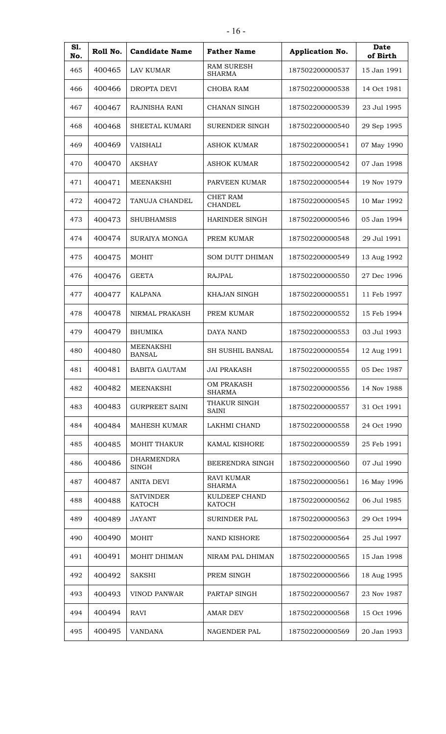| S1.<br>No. | Roll No. | <b>Candidate Name</b>             | <b>Father Name</b>                 | Application No. | Date<br>of Birth |
|------------|----------|-----------------------------------|------------------------------------|-----------------|------------------|
| 465        | 400465   | <b>LAV KUMAR</b>                  | <b>RAM SURESH</b><br><b>SHARMA</b> | 187502200000537 | 15 Jan 1991      |
| 466        | 400466   | <b>DROPTA DEVI</b>                | <b>CHOBA RAM</b>                   | 187502200000538 | 14 Oct 1981      |
| 467        | 400467   | RAJNISHA RANI                     | CHANAN SINGH                       | 187502200000539 | 23 Jul 1995      |
| 468        | 400468   | SHEETAL KUMARI                    | <b>SURENDER SINGH</b>              | 187502200000540 | 29 Sep 1995      |
| 469        | 400469   | <b>VAISHALI</b>                   | <b>ASHOK KUMAR</b>                 | 187502200000541 | 07 May 1990      |
| 470        | 400470   | <b>AKSHAY</b>                     | ASHOK KUMAR                        | 187502200000542 | 07 Jan 1998      |
| 471        | 400471   | <b>MEENAKSHI</b>                  | PARVEEN KUMAR                      | 187502200000544 | 19 Nov 1979      |
| 472        | 400472   | TANUJA CHANDEL                    | <b>CHET RAM</b><br><b>CHANDEL</b>  | 187502200000545 | 10 Mar 1992      |
| 473        | 400473   | <b>SHUBHAMSIS</b>                 | <b>HARINDER SINGH</b>              | 187502200000546 | 05 Jan 1994      |
| 474        | 400474   | SURAIYA MONGA                     | PREM KUMAR                         | 187502200000548 | 29 Jul 1991      |
| 475        | 400475   | <b>MOHIT</b>                      | <b>SOM DUTT DHIMAN</b>             | 187502200000549 | 13 Aug 1992      |
| 476        | 400476   | <b>GEETA</b>                      | <b>RAJPAL</b>                      | 187502200000550 | 27 Dec 1996      |
| 477        | 400477   | <b>KALPANA</b>                    | KHAJAN SINGH                       | 187502200000551 | 11 Feb 1997      |
| 478        | 400478   | NIRMAL PRAKASH                    | PREM KUMAR                         | 187502200000552 | 15 Feb 1994      |
| 479        | 400479   | <b>BHUMIKA</b>                    | <b>DAYA NAND</b>                   | 187502200000553 | 03 Jul 1993      |
| 480        | 400480   | <b>MEENAKSHI</b><br><b>BANSAL</b> | <b>SH SUSHIL BANSAL</b>            | 187502200000554 | 12 Aug 1991      |
| 481        | 400481   | <b>BABITA GAUTAM</b>              | <b>JAI PRAKASH</b>                 | 187502200000555 | 05 Dec 1987      |
| 482        | 400482   | MEENAKSHI                         | <b>OM PRAKASH</b><br><b>SHARMA</b> | 187502200000556 | 14 Nov 1988      |
| 483        | 400483   | <b>GURPREET SAINI</b>             | THAKUR SINGH<br><b>SAINI</b>       | 187502200000557 | 31 Oct 1991      |
| 484        | 400484   | <b>MAHESH KUMAR</b>               | LAKHMI CHAND                       | 187502200000558 | 24 Oct 1990      |
| 485        | 400485   | <b>MOHIT THAKUR</b>               | <b>KAMAL KISHORE</b>               | 187502200000559 | 25 Feb 1991      |
| 486        | 400486   | <b>DHARMENDRA</b><br><b>SINGH</b> | BEERENDRA SINGH                    | 187502200000560 | 07 Jul 1990      |
| 487        | 400487   | <b>ANITA DEVI</b>                 | <b>RAVI KUMAR</b><br><b>SHARMA</b> | 187502200000561 | 16 May 1996      |
| 488        | 400488   | <b>SATVINDER</b><br><b>KATOCH</b> | KULDEEP CHAND<br>KATOCH            | 187502200000562 | 06 Jul 1985      |
| 489        | 400489   | <b>JAYANT</b>                     | <b>SURINDER PAL</b>                | 187502200000563 | 29 Oct 1994      |
| 490        | 400490   | <b>MOHIT</b>                      | NAND KISHORE                       | 187502200000564 | 25 Jul 1997      |
| 491        | 400491   | MOHIT DHIMAN                      | NIRAM PAL DHIMAN                   | 187502200000565 | 15 Jan 1998      |
| 492        | 400492   | <b>SAKSHI</b>                     | PREM SINGH                         | 187502200000566 | 18 Aug 1995      |
| 493        | 400493   | <b>VINOD PANWAR</b>               | PARTAP SINGH                       | 187502200000567 | 23 Nov 1987      |
| 494        | 400494   | <b>RAVI</b>                       | <b>AMAR DEV</b>                    | 187502200000568 | 15 Oct 1996      |
| 495        | 400495   | <b>VANDANA</b>                    | NAGENDER PAL                       | 187502200000569 | 20 Jan 1993      |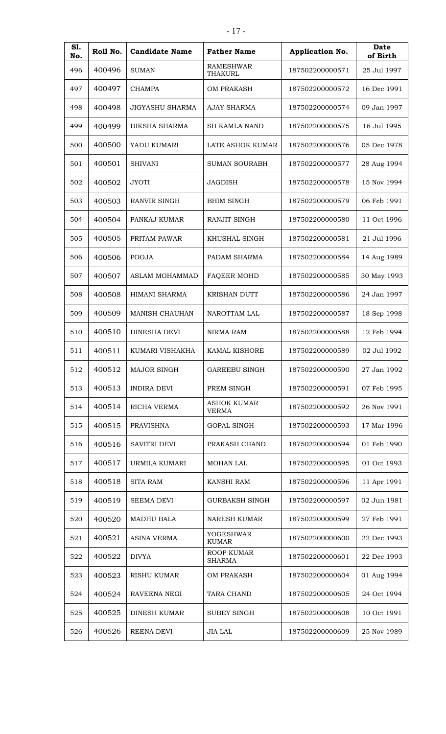| S1.<br>No. | Roll No. | <b>Candidate Name</b>  | <b>Father Name</b>                 | Application No. | Date<br>of Birth |
|------------|----------|------------------------|------------------------------------|-----------------|------------------|
| 496        | 400496   | <b>SUMAN</b>           | <b>RAMESHWAR</b><br>THAKURL        | 187502200000571 | 25 Jul 1997      |
| 497        | 400497   | <b>CHAMPA</b>          | OM PRAKASH                         | 187502200000572 | 16 Dec 1991      |
| 498        | 400498   | <b>JIGYASHU SHARMA</b> | <b>AJAY SHARMA</b>                 | 187502200000574 | 09 Jan 1997      |
| 499        | 400499   | <b>DIKSHA SHARMA</b>   | <b>SH KAMLA NAND</b>               | 187502200000575 | 16 Jul 1995      |
| 500        | 400500   | YADU KUMARI            | LATE ASHOK KUMAR                   | 187502200000576 | 05 Dec 1978      |
| 501        | 400501   | <b>SHIVANI</b>         | <b>SUMAN SOURABH</b>               | 187502200000577 | 28 Aug 1994      |
| 502        | 400502   | <b>JYOTI</b>           | <b>JAGDISH</b>                     | 187502200000578 | 15 Nov 1994      |
| 503        | 400503   | RANVIR SINGH           | <b>BHIM SINGH</b>                  | 187502200000579 | 06 Feb 1991      |
| 504        | 400504   | PANKAJ KUMAR           | RANJIT SINGH                       | 187502200000580 | 11 Oct 1996      |
| 505        | 400505   | PRITAM PAWAR           | KHUSHAL SINGH                      | 187502200000581 | 21 Jul 1996      |
| 506        | 400506   | <b>POOJA</b>           | PADAM SHARMA                       | 187502200000584 | 14 Aug 1989      |
| 507        | 400507   | <b>ASLAM MOHAMMAD</b>  | <b>FAQEER MOHD</b>                 | 187502200000585 | 30 May 1993      |
| 508        | 400508   | HIMANI SHARMA          | <b>KRISHAN DUTT</b>                | 187502200000586 | 24 Jan 1997      |
| 509        | 400509   | <b>MANISH CHAUHAN</b>  | NAROTTAM LAL                       | 187502200000587 | 18 Sep 1998      |
| 510        | 400510   | DINESHA DEVI           | NIRMA RAM                          | 187502200000588 | 12 Feb 1994      |
| 511        | 400511   | KUMARI VISHAKHA        | <b>KAMAL KISHORE</b>               | 187502200000589 | 02 Jul 1992      |
| 512        | 400512   | MAJOR SINGH            | <b>GAREEBU SINGH</b>               | 187502200000590 | 27 Jan 1992      |
| 513        | 400513   | <b>INDIRA DEVI</b>     | PREM SINGH                         | 187502200000591 | 07 Feb 1995      |
| 514        | 400514   | RICHA VERMA            | <b>ASHOK KUMAR</b><br><b>VERMA</b> | 187502200000592 | 26 Nov 1991      |
| 515        | 400515   | <b>PRAVISHNA</b>       | <b>GOPAL SINGH</b>                 | 187502200000593 | 17 Mar 1996      |
| 516        | 400516   | <b>SAVITRI DEVI</b>    | PRAKASH CHAND                      | 187502200000594 | 01 Feb 1990      |
| 517        | 400517   | URMILA KUMARI          | <b>MOHAN LAL</b>                   | 187502200000595 | 01 Oct 1993      |
| 518        | 400518   | <b>SITA RAM</b>        | <b>KANSHI RAM</b>                  | 187502200000596 | 11 Apr 1991      |
| 519        | 400519   | <b>SEEMA DEVI</b>      | <b>GURBAKSH SINGH</b>              | 187502200000597 | 02 Jun 1981      |
| 520        | 400520   | MADHU BALA             | NARESH KUMAR                       | 187502200000599 | 27 Feb 1991      |
| 521        | 400521   | <b>ASINA VERMA</b>     | YOGESHWAR<br><b>KUMAR</b>          | 187502200000600 | 22 Dec 1993      |
| 522        | 400522   | <b>DIVYA</b>           | ROOP KUMAR<br><b>SHARMA</b>        | 187502200000601 | 22 Dec 1993      |
| 523        | 400523   | RISHU KUMAR            | OM PRAKASH                         | 187502200000604 | 01 Aug 1994      |
| 524        | 400524   | RAVEENA NEGI           | <b>TARA CHAND</b>                  | 187502200000605 | 24 Oct 1994      |
| 525        | 400525   | <b>DINESH KUMAR</b>    | <b>SUBEY SINGH</b>                 | 187502200000608 | 10 Oct 1991      |
| 526        | 400526   | REENA DEVI             | <b>JIA LAL</b>                     | 187502200000609 | 25 Nov 1989      |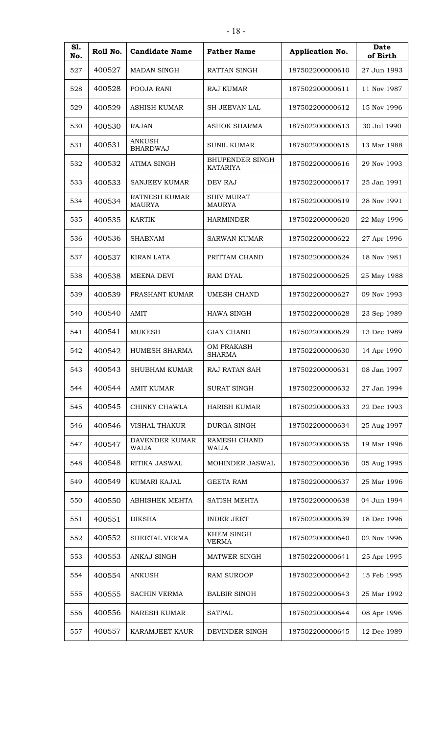| S1.<br>No. | Roll No. | <b>Candidate Name</b>            | <b>Father Name</b>                        | Application No. | <b>Date</b><br>of Birth |
|------------|----------|----------------------------------|-------------------------------------------|-----------------|-------------------------|
| 527        | 400527   | <b>MADAN SINGH</b>               | <b>RATTAN SINGH</b>                       | 187502200000610 | 27 Jun 1993             |
| 528        | 400528   | POOJA RANI                       | <b>RAJ KUMAR</b>                          | 187502200000611 | 11 Nov 1987             |
| 529        | 400529   | ASHISH KUMAR                     | <b>SH JEEVAN LAL</b>                      | 187502200000612 | 15 Nov 1996             |
| 530        | 400530   | <b>RAJAN</b>                     | <b>ASHOK SHARMA</b>                       | 187502200000613 | 30 Jul 1990             |
| 531        | 400531   | <b>ANKUSH</b><br><b>BHARDWAJ</b> | <b>SUNIL KUMAR</b>                        | 187502200000615 | 13 Mar 1988             |
| 532        | 400532   | ATIMA SINGH                      | <b>BHUPENDER SINGH</b><br><b>KATARIYA</b> | 187502200000616 | 29 Nov 1993             |
| 533        | 400533   | <b>SANJEEV KUMAR</b>             | DEV RAJ                                   | 187502200000617 | 25 Jan 1991             |
| 534        | 400534   | RATNESH KUMAR<br><b>MAURYA</b>   | <b>SHIV MURAT</b><br><b>MAURYA</b>        | 187502200000619 | 28 Nov 1991             |
| 535        | 400535   | <b>KARTIK</b>                    | <b>HARMINDER</b>                          | 187502200000620 | 22 May 1996             |
| 536        | 400536   | <b>SHABNAM</b>                   | <b>SARWAN KUMAR</b>                       | 187502200000622 | 27 Apr 1996             |
| 537        | 400537   | <b>KIRAN LATA</b>                | PRITTAM CHAND                             | 187502200000624 | 18 Nov 1981             |
| 538        | 400538   | MEENA DEVI                       | RAM DYAL                                  | 187502200000625 | 25 May 1988             |
| 539        | 400539   | PRASHANT KUMAR                   | <b>UMESH CHAND</b>                        | 187502200000627 | 09 Nov 1993             |
| 540        | 400540   | AMIT                             | <b>HAWA SINGH</b>                         | 187502200000628 | 23 Sep 1989             |
| 541        | 400541   | <b>MUKESH</b>                    | <b>GIAN CHAND</b>                         | 187502200000629 | 13 Dec 1989             |
| 542        | 400542   | HUMESH SHARMA                    | OM PRAKASH<br><b>SHARMA</b>               | 187502200000630 | 14 Apr 1990             |
| 543        | 400543   | <b>SHUBHAM KUMAR</b>             | RAJ RATAN SAH                             | 187502200000631 | 08 Jan 1997             |
| 544        | 400544   | <b>AMIT KUMAR</b>                | <b>SURAT SINGH</b>                        | 187502200000632 | 27 Jan 1994             |
| 545        | 400545   | CHINKY CHAWLA                    | HARISH KUMAR                              | 187502200000633 | 22 Dec 1993             |
| 546        | 400546   | <b>VISHAL THAKUR</b>             | <b>DURGA SINGH</b>                        | 187502200000634 | 25 Aug 1997             |
| 547        | 400547   | DAVENDER KUMAR<br><b>WALIA</b>   | RAMESH CHAND<br><b>WALIA</b>              | 187502200000635 | 19 Mar 1996             |
| 548        | 400548   | RITIKA JASWAL                    | MOHINDER JASWAL                           | 187502200000636 | 05 Aug 1995             |
| 549        | 400549   | KUMARI KAJAL                     | <b>GEETA RAM</b>                          | 187502200000637 | 25 Mar 1996             |
| 550        | 400550   | <b>ABHISHEK MEHTA</b>            | SATISH MEHTA                              | 187502200000638 | 04 Jun 1994             |
| 551        | 400551   | <b>DIKSHA</b>                    | <b>INDER JEET</b>                         | 187502200000639 | 18 Dec 1996             |
| 552        | 400552   | SHEETAL VERMA                    | <b>KHEM SINGH</b><br><b>VERMA</b>         | 187502200000640 | 02 Nov 1996             |
| 553        | 400553   | ANKAJ SINGH                      | MATWER SINGH                              | 187502200000641 | 25 Apr 1995             |
| 554        | 400554   | <b>ANKUSH</b>                    | <b>RAM SUROOP</b>                         | 187502200000642 | 15 Feb 1995             |
| 555        | 400555   | <b>SACHIN VERMA</b>              | <b>BALBIR SINGH</b>                       | 187502200000643 | 25 Mar 1992             |
| 556        | 400556   | <b>NARESH KUMAR</b>              | <b>SATPAL</b>                             | 187502200000644 | 08 Apr 1996             |

400557 KARAMJEET KAUR DEVINDER SINGH 187502200000645 12 Dec 1989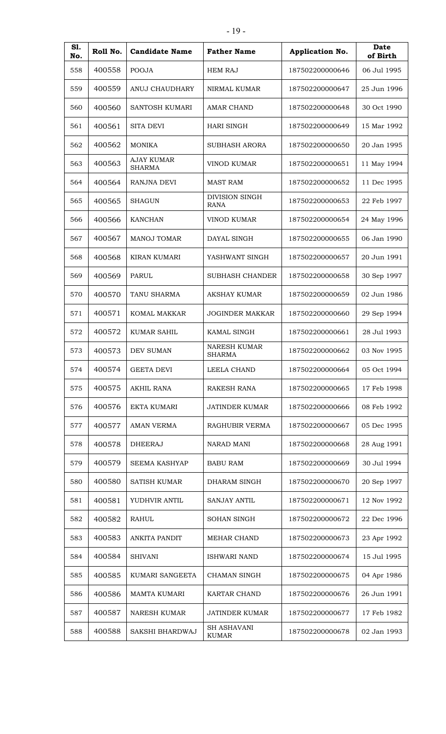| S1.<br>No. | Roll No. | <b>Candidate Name</b>       | <b>Father Name</b>                   | Application No. | Date<br>of Birth |
|------------|----------|-----------------------------|--------------------------------------|-----------------|------------------|
| 558        | 400558   | <b>POOJA</b>                | <b>HEM RAJ</b>                       | 187502200000646 | 06 Jul 1995      |
| 559        | 400559   | ANUJ CHAUDHARY              | NIRMAL KUMAR                         | 187502200000647 | 25 Jun 1996      |
| 560        | 400560   | SANTOSH KUMARI              | <b>AMAR CHAND</b>                    | 187502200000648 | 30 Oct 1990      |
| 561        | 400561   | SITA DEVI                   | <b>HARI SINGH</b>                    | 187502200000649 | 15 Mar 1992      |
| 562        | 400562   | <b>MONIKA</b>               | <b>SUBHASH ARORA</b>                 | 187502200000650 | 20 Jan 1995      |
| 563        | 400563   | AJAY KUMAR<br><b>SHARMA</b> | VINOD KUMAR                          | 187502200000651 | 11 May 1994      |
| 564        | 400564   | <b>RANJNA DEVI</b>          | <b>MAST RAM</b>                      | 187502200000652 | 11 Dec 1995      |
| 565        | 400565   | <b>SHAGUN</b>               | <b>DIVISION SINGH</b><br><b>RANA</b> | 187502200000653 | 22 Feb 1997      |
| 566        | 400566   | <b>KANCHAN</b>              | <b>VINOD KUMAR</b>                   | 187502200000654 | 24 May 1996      |
| 567        | 400567   | <b>MANOJ TOMAR</b>          | DAYAL SINGH                          | 187502200000655 | 06 Jan 1990      |
| 568        | 400568   | KIRAN KUMARI                | YASHWANT SINGH                       | 187502200000657 | 20 Jun 1991      |
| 569        | 400569   | PARUL                       | <b>SUBHASH CHANDER</b>               | 187502200000658 | 30 Sep 1997      |
| 570        | 400570   | TANU SHARMA                 | <b>AKSHAY KUMAR</b>                  | 187502200000659 | 02 Jun 1986      |
| 571        | 400571   | KOMAL MAKKAR                | <b>JOGINDER MAKKAR</b>               | 187502200000660 | 29 Sep 1994      |
| 572        | 400572   | <b>KUMAR SAHIL</b>          | KAMAL SINGH                          | 187502200000661 | 28 Jul 1993      |
| 573        | 400573   | <b>DEV SUMAN</b>            | <b>NARESH KUMAR</b><br><b>SHARMA</b> | 187502200000662 | 03 Nov 1995      |
| 574        | 400574   | <b>GEETA DEVI</b>           | LEELA CHAND                          | 187502200000664 | 05 Oct 1994      |
| 575        | 400575   | <b>AKHIL RANA</b>           | <b>RAKESH RANA</b>                   | 187502200000665 | 17 Feb 1998      |
| 576        | 400576   | <b>EKTA KUMARI</b>          | <b>JATINDER KUMAR</b>                | 187502200000666 | 08 Feb 1992      |
| 577        | 400577   | <b>AMAN VERMA</b>           | RAGHUBIR VERMA                       | 187502200000667 | 05 Dec 1995      |
| 578        | 400578   | <b>DHEERAJ</b>              | NARAD MANI                           | 187502200000668 | 28 Aug 1991      |
| 579        | 400579   | <b>SEEMA KASHYAP</b>        | <b>BABU RAM</b>                      | 187502200000669 | 30 Jul 1994      |
| 580        | 400580   | <b>SATISH KUMAR</b>         | DHARAM SINGH                         | 187502200000670 | 20 Sep 1997      |
| 581        | 400581   | YUDHVIR ANTIL               | <b>SANJAY ANTIL</b>                  | 187502200000671 | 12 Nov 1992      |
| 582        | 400582   | <b>RAHUL</b>                | <b>SOHAN SINGH</b>                   | 187502200000672 | 22 Dec 1996      |
| 583        | 400583   | <b>ANKITA PANDIT</b>        | MEHAR CHAND                          | 187502200000673 | 23 Apr 1992      |
| 584        | 400584   | <b>SHIVANI</b>              | <b>ISHWARI NAND</b>                  | 187502200000674 | 15 Jul 1995      |
| 585        | 400585   | KUMARI SANGEETA             | CHAMAN SINGH                         | 187502200000675 | 04 Apr 1986      |
| 586        | 400586   | MAMTA KUMARI                | KARTAR CHAND                         | 187502200000676 | 26 Jun 1991      |
| 587        | 400587   | <b>NARESH KUMAR</b>         | <b>JATINDER KUMAR</b>                | 187502200000677 | 17 Feb 1982      |
| 588        | 400588   | SAKSHI BHARDWAJ             | <b>SH ASHAVANI</b><br><b>KUMAR</b>   | 187502200000678 | 02 Jan 1993      |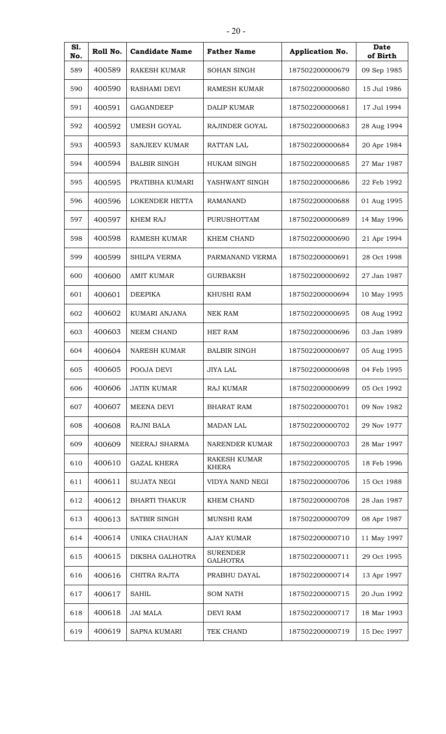| <b>S1.</b><br>No. | Roll No. | <b>Candidate Name</b> | <b>Father Name</b>                 | Application No. | <b>Date</b><br>of Birth |
|-------------------|----------|-----------------------|------------------------------------|-----------------|-------------------------|
| 589               | 400589   | <b>RAKESH KUMAR</b>   | <b>SOHAN SINGH</b>                 | 187502200000679 | 09 Sep 1985             |
| 590               | 400590   | <b>RASHAMI DEVI</b>   | <b>RAMESH KUMAR</b>                | 187502200000680 | 15 Jul 1986             |
| 591               | 400591   | <b>GAGANDEEP</b>      | <b>DALIP KUMAR</b>                 | 187502200000681 | 17 Jul 1994             |
| 592               | 400592   | <b>UMESH GOYAL</b>    | RAJINDER GOYAL                     | 187502200000683 | 28 Aug 1994             |
| 593               | 400593   | <b>SANJEEV KUMAR</b>  | RATTAN LAL                         | 187502200000684 | 20 Apr 1984             |
| 594               | 400594   | <b>BALBIR SINGH</b>   | <b>HUKAM SINGH</b>                 | 187502200000685 | 27 Mar 1987             |
| 595               | 400595   | PRATIBHA KUMARI       | YASHWANT SINGH                     | 187502200000686 | 22 Feb 1992             |
| 596               | 400596   | <b>LOKENDER HETTA</b> | <b>RAMANAND</b>                    | 187502200000688 | 01 Aug 1995             |
| 597               | 400597   | <b>KHEM RAJ</b>       | PURUSHOTTAM                        | 187502200000689 | 14 May 1996             |
| 598               | 400598   | <b>RAMESH KUMAR</b>   | <b>KHEM CHAND</b>                  | 187502200000690 | 21 Apr 1994             |
| 599               | 400599   | <b>SHILPA VERMA</b>   | PARMANAND VERMA                    | 187502200000691 | 28 Oct 1998             |
| 600               | 400600   | <b>AMIT KUMAR</b>     | <b>GURBAKSH</b>                    | 187502200000692 | 27 Jan 1987             |
| 601               | 400601   | <b>DEEPIKA</b>        | <b>KHUSHI RAM</b>                  | 187502200000694 | 10 May 1995             |
| 602               | 400602   | KUMARI ANJANA         | <b>NEK RAM</b>                     | 187502200000695 | 08 Aug 1992             |
| 603               | 400603   | NEEM CHAND            | <b>HET RAM</b>                     | 187502200000696 | 03 Jan 1989             |
| 604               | 400604   | <b>NARESH KUMAR</b>   | <b>BALBIR SINGH</b>                | 187502200000697 | 05 Aug 1995             |
| 605               | 400605   | POOJA DEVI            | <b>JIYA LAL</b>                    | 187502200000698 | 04 Feb 1995             |
| 606               | 400606   | <b>JATIN KUMAR</b>    | RAJ KUMAR                          | 187502200000699 | 05 Oct 1992             |
| 607               | 400607   | MEENA DEVI            | <b>BHARAT RAM</b>                  | 187502200000701 | 09 Nov 1982             |
| 608               | 400608   | RAJNI BALA            | <b>MADAN LAL</b>                   | 187502200000702 | 29 Nov 1977             |
| 609               | 400609   | NEERAJ SHARMA         | <b>NARENDER KUMAR</b>              | 187502200000703 | 28 Mar 1997             |
| 610               | 400610   | <b>GAZAL KHERA</b>    | RAKESH KUMAR<br><b>KHERA</b>       | 187502200000705 | 18 Feb 1996             |
| 611               | 400611   | <b>SUJATA NEGI</b>    | VIDYA NAND NEGI                    | 187502200000706 | 15 Oct 1988             |
| 612               | 400612   | <b>BHARTI THAKUR</b>  | KHEM CHAND                         | 187502200000708 | 28 Jan 1987             |
| 613               | 400613   | SATBIR SINGH          | <b>MUNSHI RAM</b>                  | 187502200000709 | 08 Apr 1987             |
| 614               | 400614   | UNIKA CHAUHAN         | <b>AJAY KUMAR</b>                  | 187502200000710 | 11 May 1997             |
| 615               | 400615   | DIKSHA GALHOTRA       | <b>SURENDER</b><br><b>GALHOTRA</b> | 187502200000711 | 29 Oct 1995             |
| 616               | 400616   | CHITRA RAJTA          | PRABHU DAYAL                       | 187502200000714 | 13 Apr 1997             |
| 617               | 400617   | <b>SAHIL</b>          | <b>SOM NATH</b>                    | 187502200000715 | 20 Jun 1992             |
| 618               | 400618   | <b>JAI MALA</b>       | <b>DEVI RAM</b>                    | 187502200000717 | 18 Mar 1993             |
| 619               | 400619   | <b>SAPNA KUMARI</b>   | TEK CHAND                          | 187502200000719 | 15 Dec 1997             |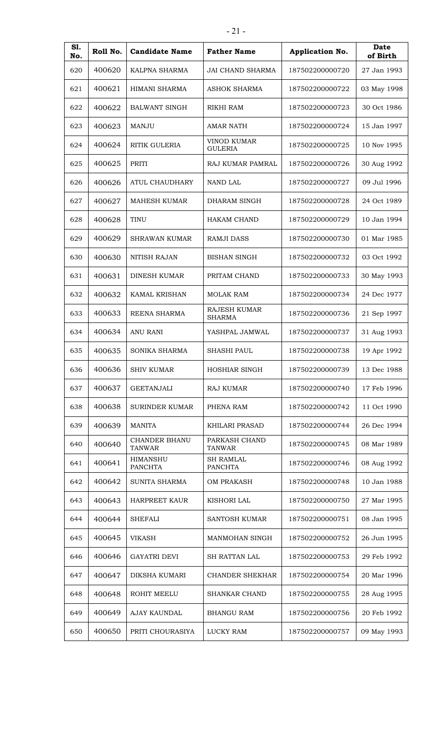| S1.<br>No. | Roll No. | <b>Candidate Name</b>             | <b>Father Name</b>                   | Application No. | <b>Date</b><br>of Birth |
|------------|----------|-----------------------------------|--------------------------------------|-----------------|-------------------------|
| 620        | 400620   | KALPNA SHARMA                     | <b>JAI CHAND SHARMA</b>              | 187502200000720 | 27 Jan 1993             |
| 621        | 400621   | HIMANI SHARMA                     | <b>ASHOK SHARMA</b>                  | 187502200000722 | 03 May 1998             |
| 622        | 400622   | <b>BALWANT SINGH</b>              | RIKHI RAM                            | 187502200000723 | 30 Oct 1986             |
| 623        | 400623   | <b>MANJU</b>                      | <b>AMAR NATH</b>                     | 187502200000724 | 15 Jan 1997             |
| 624        | 400624   | RITIK GULERIA                     | <b>VINOD KUMAR</b><br><b>GULERIA</b> | 187502200000725 | 10 Nov 1995             |
| 625        | 400625   | PRITI                             | RAJ KUMAR PAMRAL                     | 187502200000726 | 30 Aug 1992             |
| 626        | 400626   | ATUL CHAUDHARY                    | NAND LAL                             | 187502200000727 | 09 Jul 1996             |
| 627        | 400627   | <b>MAHESH KUMAR</b>               | DHARAM SINGH                         | 187502200000728 | 24 Oct 1989             |
| 628        | 400628   | <b>TINU</b>                       | <b>HAKAM CHAND</b>                   | 187502200000729 | 10 Jan 1994             |
| 629        | 400629   | <b>SHRAWAN KUMAR</b>              | <b>RAMJI DASS</b>                    | 187502200000730 | 01 Mar 1985             |
| 630        | 400630   | <b>NITISH RAJAN</b>               | <b>BISHAN SINGH</b>                  | 187502200000732 | 03 Oct 1992             |
| 631        | 400631   | <b>DINESH KUMAR</b>               | PRITAM CHAND                         | 187502200000733 | 30 May 1993             |
| 632        | 400632   | <b>KAMAL KRISHAN</b>              | <b>MOLAK RAM</b>                     | 187502200000734 | 24 Dec 1977             |
| 633        | 400633   | REENA SHARMA                      | <b>RAJESH KUMAR</b><br><b>SHARMA</b> | 187502200000736 | 21 Sep 1997             |
| 634        | 400634   | <b>ANU RANI</b>                   | YASHPAL JAMWAL                       | 187502200000737 | 31 Aug 1993             |
| 635        | 400635   | SONIKA SHARMA                     | <b>SHASHI PAUL</b>                   | 187502200000738 | 19 Apr 1992             |
| 636        | 400636   | <b>SHIV KUMAR</b>                 | HOSHIAR SINGH                        | 187502200000739 | 13 Dec 1988             |
| 637        | 400637   | <b>GEETANJALI</b>                 | <b>RAJ KUMAR</b>                     | 187502200000740 | 17 Feb 1996             |
| 638        | 400638   | <b>SURINDER KUMAR</b>             | PHENA RAM                            | 187502200000742 | 11 Oct 1990             |
| 639        | 400639   | <b>MANITA</b>                     | KHILARI PRASAD                       | 187502200000744 | 26 Dec 1994             |
| 640        | 400640   | CHANDER BHANU<br><b>TANWAR</b>    | PARKASH CHAND<br><b>TANWAR</b>       | 187502200000745 | 08 Mar 1989             |
| 641        | 400641   | <b>HIMANSHU</b><br><b>PANCHTA</b> | <b>SH RAMLAL</b><br><b>PANCHTA</b>   | 187502200000746 | 08 Aug 1992             |
| 642        | 400642   | SUNITA SHARMA                     | <b>OM PRAKASH</b>                    | 187502200000748 | 10 Jan 1988             |
| 643        | 400643   | <b>HARPREET KAUR</b>              | <b>KISHORI LAL</b>                   | 187502200000750 | 27 Mar 1995             |
| 644        | 400644   | <b>SHEFALI</b>                    | <b>SANTOSH KUMAR</b>                 | 187502200000751 | 08 Jan 1995             |
| 645        | 400645   | <b>VIKASH</b>                     | MANMOHAN SINGH                       | 187502200000752 | 26 Jun 1995             |
| 646        | 400646   | <b>GAYATRI DEVI</b>               | SH RATTAN LAL                        | 187502200000753 | 29 Feb 1992             |
| 647        | 400647   | DIKSHA KUMARI                     | <b>CHANDER SHEKHAR</b>               | 187502200000754 | 20 Mar 1996             |
| 648        | 400648   | ROHIT MEELU                       | <b>SHANKAR CHAND</b>                 | 187502200000755 | 28 Aug 1995             |
| 649        | 400649   | <b>AJAY KAUNDAL</b>               | <b>BHANGU RAM</b>                    | 187502200000756 | 20 Feb 1992             |
| 650        | 400650   | PRITI CHOURASIYA                  | LUCKY RAM                            | 187502200000757 | 09 May 1993             |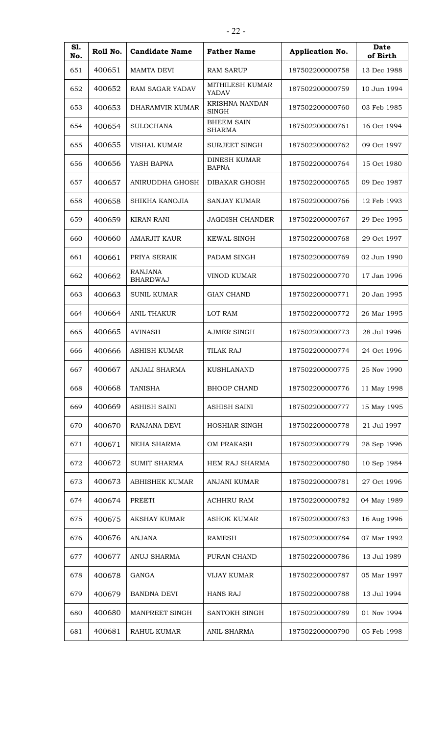| S1.<br>No. | Roll No. | <b>Candidate Name</b>             | <b>Father Name</b>                  | Application No. | Date<br>of Birth |
|------------|----------|-----------------------------------|-------------------------------------|-----------------|------------------|
| 651        | 400651   | <b>MAMTA DEVI</b>                 | <b>RAM SARUP</b>                    | 187502200000758 | 13 Dec 1988      |
| 652        | 400652   | RAM SAGAR YADAV                   | MITHILESH KUMAR<br>YADAV            | 187502200000759 | 10 Jun 1994      |
| 653        | 400653   | DHARAMVIR KUMAR                   | KRISHNA NANDAN<br><b>SINGH</b>      | 187502200000760 | 03 Feb 1985      |
| 654        | 400654   | <b>SULOCHANA</b>                  | <b>BHEEM SAIN</b><br><b>SHARMA</b>  | 187502200000761 | 16 Oct 1994      |
| 655        | 400655   | <b>VISHAL KUMAR</b>               | SURJEET SINGH                       | 187502200000762 | 09 Oct 1997      |
| 656        | 400656   | YASH BAPNA                        | <b>DINESH KUMAR</b><br><b>BAPNA</b> | 187502200000764 | 15 Oct 1980      |
| 657        | 400657   | ANIRUDDHA GHOSH                   | DIBAKAR GHOSH                       | 187502200000765 | 09 Dec 1987      |
| 658        | 400658   | SHIKHA KANOJIA                    | SANJAY KUMAR                        | 187502200000766 | 12 Feb 1993      |
| 659        | 400659   | <b>KIRAN RANI</b>                 | <b>JAGDISH CHANDER</b>              | 187502200000767 | 29 Dec 1995      |
| 660        | 400660   | <b>AMARJIT KAUR</b>               | <b>KEWAL SINGH</b>                  | 187502200000768 | 29 Oct 1997      |
| 661        | 400661   | PRIYA SERAIK                      | PADAM SINGH                         | 187502200000769 | 02 Jun 1990      |
| 662        | 400662   | <b>RANJANA</b><br><b>BHARDWAJ</b> | VINOD KUMAR                         | 187502200000770 | 17 Jan 1996      |
| 663        | 400663   | <b>SUNIL KUMAR</b>                | <b>GIAN CHAND</b>                   | 187502200000771 | 20 Jan 1995      |
| 664        | 400664   | <b>ANIL THAKUR</b>                | LOT RAM                             | 187502200000772 | 26 Mar 1995      |
| 665        | 400665   | <b>AVINASH</b>                    | <b>AJMER SINGH</b>                  | 187502200000773 | 28 Jul 1996      |
| 666        | 400666   | ASHISH KUMAR                      | <b>TILAK RAJ</b>                    | 187502200000774 | 24 Oct 1996      |
| 667        | 400667   | ANJALI SHARMA                     | <b>KUSHLANAND</b>                   | 187502200000775 | 25 Nov 1990      |
| 668        | 400668   | <b>TANISHA</b>                    | <b>BHOOP CHAND</b>                  | 187502200000776 | 11 May 1998      |
| 669        | 400669   | <b>ASHISH SAINI</b>               | <b>ASHISH SAINI</b>                 | 187502200000777 | 15 May 1995      |
| 670        | 400670   | RANJANA DEVI                      | HOSHIAR SINGH                       | 187502200000778 | 21 Jul 1997      |
| 671        | 400671   | NEHA SHARMA                       | <b>OM PRAKASH</b>                   | 187502200000779 | 28 Sep 1996      |
| 672        | 400672   | <b>SUMIT SHARMA</b>               | <b>HEM RAJ SHARMA</b>               | 187502200000780 | 10 Sep 1984      |
| 673        | 400673   | <b>ABHISHEK KUMAR</b>             | <b>ANJANI KUMAR</b>                 | 187502200000781 | 27 Oct 1996      |
| 674        | 400674   | <b>PREETI</b>                     | <b>ACHHRU RAM</b>                   | 187502200000782 | 04 May 1989      |
| 675        | 400675   | AKSHAY KUMAR                      | <b>ASHOK KUMAR</b>                  | 187502200000783 | 16 Aug 1996      |
| 676        | 400676   | <b>ANJANA</b>                     | <b>RAMESH</b>                       | 187502200000784 | 07 Mar 1992      |
| 677        | 400677   | ANUJ SHARMA                       | PURAN CHAND                         | 187502200000786 | 13 Jul 1989      |
| 678        | 400678   | GANGA                             | <b>VIJAY KUMAR</b>                  | 187502200000787 | 05 Mar 1997      |
| 679        | 400679   | <b>BANDNA DEVI</b>                | <b>HANS RAJ</b>                     | 187502200000788 | 13 Jul 1994      |
| 680        | 400680   | MANPREET SINGH                    | SANTOKH SINGH                       | 187502200000789 | 01 Nov 1994      |
| 681        | 400681   | RAHUL KUMAR                       | <b>ANIL SHARMA</b>                  | 187502200000790 | 05 Feb 1998      |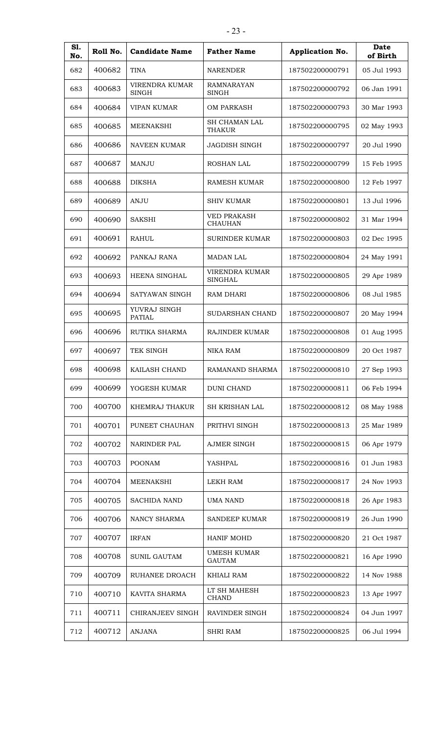| S1.<br>No. | Roll No. | <b>Candidate Name</b>                 | <b>Father Name</b>                   | Application No. | Date<br>of Birth |
|------------|----------|---------------------------------------|--------------------------------------|-----------------|------------------|
| 682        | 400682   | <b>TINA</b>                           | <b>NARENDER</b>                      | 187502200000791 | 05 Jul 1993      |
| 683        | 400683   | <b>VIRENDRA KUMAR</b><br><b>SINGH</b> | <b>RAMNARAYAN</b><br><b>SINGH</b>    | 187502200000792 | 06 Jan 1991      |
| 684        | 400684   | <b>VIPAN KUMAR</b>                    | <b>OM PARKASH</b>                    | 187502200000793 | 30 Mar 1993      |
| 685        | 400685   | <b>MEENAKSHI</b>                      | SH CHAMAN LAL<br><b>THAKUR</b>       | 187502200000795 | 02 May 1993      |
| 686        | 400686   | <b>NAVEEN KUMAR</b>                   | JAGDISH SINGH                        | 187502200000797 | 20 Jul 1990      |
| 687        | 400687   | MANJU                                 | ROSHAN LAL                           | 187502200000799 | 15 Feb 1995      |
| 688        | 400688   | <b>DIKSHA</b>                         | <b>RAMESH KUMAR</b>                  | 187502200000800 | 12 Feb 1997      |
| 689        | 400689   | ANJU                                  | <b>SHIV KUMAR</b>                    | 187502200000801 | 13 Jul 1996      |
| 690        | 400690   | <b>SAKSHI</b>                         | <b>VED PRAKASH</b><br><b>CHAUHAN</b> | 187502200000802 | 31 Mar 1994      |
| 691        | 400691   | <b>RAHUL</b>                          | <b>SURINDER KUMAR</b>                | 187502200000803 | 02 Dec 1995      |
| 692        | 400692   | PANKAJ RANA                           | <b>MADAN LAL</b>                     | 187502200000804 | 24 May 1991      |
| 693        | 400693   | HEENA SINGHAL                         | VIRENDRA KUMAR<br><b>SINGHAL</b>     | 187502200000805 | 29 Apr 1989      |
| 694        | 400694   | SATYAWAN SINGH                        | <b>RAM DHARI</b>                     | 187502200000806 | 08 Jul 1985      |
| 695        | 400695   | YUVRAJ SINGH<br><b>PATIAL</b>         | SUDARSHAN CHAND                      | 187502200000807 | 20 May 1994      |
| 696        | 400696   | RUTIKA SHARMA                         | RAJINDER KUMAR                       | 187502200000808 | 01 Aug 1995      |
| 697        | 400697   | TEK SINGH                             | <b>NIKA RAM</b>                      | 187502200000809 | 20 Oct 1987      |
| 698        | 400698   | KAILASH CHAND                         | RAMANAND SHARMA                      | 187502200000810 | 27 Sep 1993      |
| 699        | 400699   | YOGESH KUMAR                          | <b>DUNI CHAND</b>                    | 187502200000811 | 06 Feb 1994      |
| 700        | 400700   | KHEMRAJ THAKUR                        | SH KRISHAN LAL                       | 187502200000812 | 08 May 1988      |
| 701        | 400701   | PUNEET CHAUHAN                        | PRITHVI SINGH                        | 187502200000813 | 25 Mar 1989      |
| 702        | 400702   | NARINDER PAL                          | <b>AJMER SINGH</b>                   | 187502200000815 | 06 Apr 1979      |
| 703        | 400703   | <b>POONAM</b>                         | YASHPAL                              | 187502200000816 | 01 Jun 1983      |
| 704        | 400704   | MEENAKSHI                             | LEKH RAM                             | 187502200000817 | 24 Nov 1993      |
| 705        | 400705   | <b>SACHIDA NAND</b>                   | <b>UMA NAND</b>                      | 187502200000818 | 26 Apr 1983      |
| 706        | 400706   | NANCY SHARMA                          | SANDEEP KUMAR                        | 187502200000819 | 26 Jun 1990      |
| 707        | 400707   | <b>IRFAN</b>                          | HANIF MOHD                           | 187502200000820 | 21 Oct 1987      |
| 708        | 400708   | <b>SUNIL GAUTAM</b>                   | <b>UMESH KUMAR</b><br><b>GAUTAM</b>  | 187502200000821 | 16 Apr 1990      |
| 709        | 400709   | RUHANEE DROACH                        | KHIALI RAM                           | 187502200000822 | 14 Nov 1988      |
| 710        | 400710   | KAVITA SHARMA                         | LT SH MAHESH<br><b>CHAND</b>         | 187502200000823 | 13 Apr 1997      |
| 711        | 400711   | CHIRANJEEV SINGH                      | RAVINDER SINGH                       | 187502200000824 | 04 Jun 1997      |
| 712        | 400712   | ANJANA                                | <b>SHRI RAM</b>                      | 187502200000825 | 06 Jul 1994      |